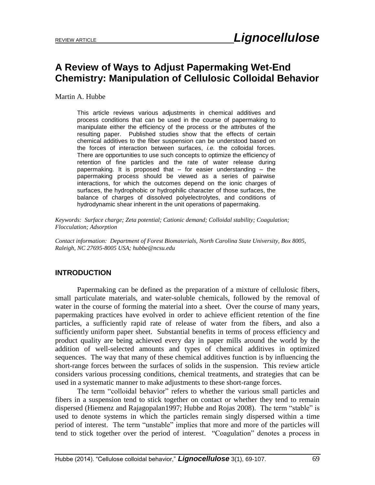# **A Review of Ways to Adjust Papermaking Wet-End Chemistry: Manipulation of Cellulosic Colloidal Behavior**

Martin A. Hubbe

This article reviews various adjustments in chemical additives and process conditions that can be used in the course of papermaking to manipulate either the efficiency of the process or the attributes of the resulting paper. Published studies show that the effects of certain chemical additives to the fiber suspension can be understood based on the forces of interaction between surfaces, *i.e.* the colloidal forces. There are opportunities to use such concepts to optimize the efficiency of retention of fine particles and the rate of water release during papermaking. It is proposed that – for easier understanding – the papermaking process should be viewed as a series of pairwise interactions, for which the outcomes depend on the ionic charges of surfaces, the hydrophobic or hydrophilic character of those surfaces, the balance of charges of dissolved polyelectrolytes, and conditions of hydrodynamic shear inherent in the unit operations of papermaking.

*Keywords: Surface charge; Zeta potential; Cationic demand; Colloidal stability; Coagulation; Flocculation; Adsorption*

*Contact information: Department of Forest Biomaterials, North Carolina State University, Box 8005, Raleigh, NC 27695-8005 USA; hubbe@ncsu.edu*

# **INTRODUCTION**

Papermaking can be defined as the preparation of a mixture of cellulosic fibers, small particulate materials, and water-soluble chemicals, followed by the removal of water in the course of forming the material into a sheet. Over the course of many years, papermaking practices have evolved in order to achieve efficient retention of the fine particles, a sufficiently rapid rate of release of water from the fibers, and also a sufficiently uniform paper sheet. Substantial benefits in terms of process efficiency and product quality are being achieved every day in paper mills around the world by the addition of well-selected amounts and types of chemical additives in optimized sequences. The way that many of these chemical additives function is by influencing the short-range forces between the surfaces of solids in the suspension. This review article considers various processing conditions, chemical treatments, and strategies that can be used in a systematic manner to make adjustments to these short-range forces.

The term "colloidal behavior" refers to whether the various small particles and fibers in a suspension tend to stick together on contact or whether they tend to remain dispersed (Hiemenz and Rajagopalan1997; Hubbe and Rojas 2008). The term "stable" is used to denote systems in which the particles remain singly dispersed within a time period of interest. The term "unstable" implies that more and more of the particles will tend to stick together over the period of interest. "Coagulation" denotes a process in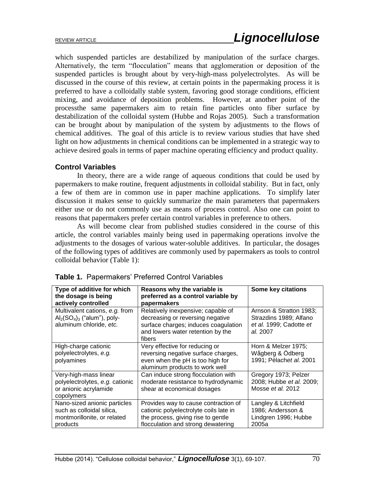which suspended particles are destabilized by manipulation of the surface charges. Alternatively, the term "flocculation" means that agglomeration or deposition of the suspended particles is brought about by very-high-mass polyelectrolytes. As will be discussed in the course of this review, at certain points in the papermaking process it is preferred to have a colloidally stable system, favoring good storage conditions, efficient mixing, and avoidance of deposition problems. However, at another point of the processthe same papermakers aim to retain fine particles onto fiber surface by destabilization of the colloidal system (Hubbe and Rojas 2005). Such a transformation can be brought about by manipulation of the system by adjustments to the flows of chemical additives. The goal of this article is to review various studies that have shed light on how adjustments in chemical conditions can be implemented in a strategic way to achieve desired goals in terms of paper machine operating efficiency and product quality.

# **Control Variables**

In theory, there are a wide range of aqueous conditions that could be used by papermakers to make routine, frequent adjustments in colloidal stability. But in fact, only a few of them are in common use in paper machine applications. To simplify later discussion it makes sense to quickly summarize the main parameters that papermakers either use or do not commonly use as means of process control. Also one can point to reasons that papermakers prefer certain control variables in preference to others.

As will become clear from published studies considered in the course of this article, the control variables mainly being used in papermaking operations involve the adjustments to the dosages of various water-soluble additives. In particular, the dosages of the following types of additives are commonly used by papermakers as tools to control colloidal behavior (Table 1):

| Type of additive for which<br>the dosage is being<br>actively controlled                                  | Reasons why the variable is<br>preferred as a control variable by<br>papermakers                                                                              | Some key citations                                                                       |
|-----------------------------------------------------------------------------------------------------------|---------------------------------------------------------------------------------------------------------------------------------------------------------------|------------------------------------------------------------------------------------------|
| Multivalent cations, e.g. from<br>$\text{Al}_2(\text{SO}_4)_3$ ("alum"), poly-<br>aluminum chloride, etc. | Relatively inexpensive; capable of<br>decreasing or reversing negative<br>surface charges; induces coagulation<br>and lowers water retention by the<br>fibers | Arnson & Stratton 1983;<br>Strazdins 1989; Alfano<br>et al. 1999; Cadotte et<br>al. 2007 |
| High-charge cationic<br>polyelectrolytes, e.g.<br>polyamines                                              | Very effective for reducing or<br>reversing negative surface charges,<br>even when the pH is too high for<br>aluminum products to work well                   | Horn & Melzer 1975;<br>Wågberg & Ödberg<br>1991; Pèlachet al. 2001                       |
| Very-high-mass linear<br>polyelectrolytes, e.g. cationic<br>or anionic acrylamide<br>copolymers           | Can induce strong flocculation with<br>moderate resistance to hydrodynamic<br>shear at economical dosages                                                     | Gregory 1973; Pelzer<br>2008; Hubbe et al. 2009;<br>Mosse et al. 2012                    |
| Nano-sized anionic particles<br>such as colloidal silica,<br>montmorillonite, or related<br>products      | Provides way to cause contraction of<br>cationic polyelectrolyte coils late in<br>the process, giving rise to gentle<br>flocculation and strong dewatering    | Langley & Litchfield<br>1986; Andersson &<br>Lindgren 1996; Hubbe<br>2005a               |

|  | <b>Table 1.</b> Papermakers' Preferred Control Variables |  |  |  |
|--|----------------------------------------------------------|--|--|--|
|--|----------------------------------------------------------|--|--|--|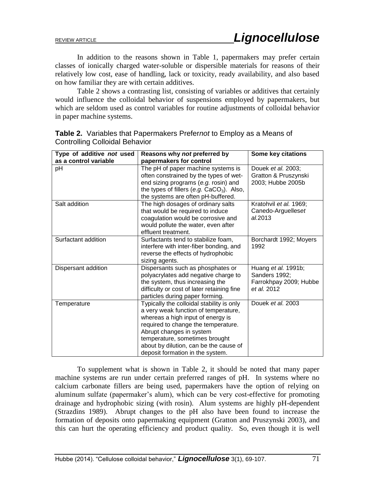In addition to the reasons shown in Table 1, papermakers may prefer certain classes of ionically charged water-soluble or dispersible materials for reasons of their relatively low cost, ease of handling, lack or toxicity, ready availability, and also based on how familiar they are with certain additives.

Table 2 shows a contrasting list, consisting of variables or additives that certainly would influence the colloidal behavior of suspensions employed by papermakers, but which are seldom used as control variables for routine adjustments of colloidal behavior in paper machine systems.

| Type of additive not used | Reasons why not preferred by                                                                                                                                                                                                                                                                              | Some key citations                                                                   |
|---------------------------|-----------------------------------------------------------------------------------------------------------------------------------------------------------------------------------------------------------------------------------------------------------------------------------------------------------|--------------------------------------------------------------------------------------|
| as a control variable     | papermakers for control                                                                                                                                                                                                                                                                                   |                                                                                      |
| pH                        | The pH of paper machine systems is<br>often constrained by the types of wet-<br>end sizing programs (e.g. rosin) and<br>the types of fillers (e.g. $CaCO3$ ). Also,<br>the systems are often pH-buffered.                                                                                                 | Douek et al. 2003;<br>Gratton & Pruszynski<br>2003; Hubbe 2005b                      |
| Salt addition             | The high dosages of ordinary salts<br>that would be required to induce<br>coagulation would be corrosive and<br>would pollute the water, even after<br>effluent treatment.                                                                                                                                | Kratohvil et al. 1969;<br>Canedo-Arguelleset<br>al.2013                              |
| Surfactant addition       | Surfactants tend to stabilize foam.<br>interfere with inter-fiber bonding, and<br>reverse the effects of hydrophobic<br>sizing agents.                                                                                                                                                                    | Borchardt 1992; Moyers<br>1992                                                       |
| Dispersant addition       | Dispersants such as phosphates or<br>polyacrylates add negative charge to<br>the system, thus increasing the<br>difficulty or cost of later retaining fine<br>particles during paper forming.                                                                                                             | Huang <i>et al.</i> 1991b;<br>Sanders 1992;<br>Farrokhpay 2009; Hubbe<br>et al. 2012 |
| Temperature               | Typically the colloidal stability is only<br>a very weak function of temperature,<br>whereas a high input of energy is<br>required to change the temperature.<br>Abrupt changes in system<br>temperature, sometimes brought<br>about by dilution, can be the cause of<br>deposit formation in the system. | Douek et al. 2003                                                                    |

**Table 2.** Variables that Papermakers Prefer*not* to Employ as a Means of Controlling Colloidal Behavior

To supplement what is shown in Table 2, it should be noted that many paper machine systems are run under certain preferred ranges of pH. In systems where no calcium carbonate fillers are being used, papermakers have the option of relying on aluminum sulfate (papermaker's alum), which can be very cost-effective for promoting drainage and hydrophobic sizing (with rosin). Alum systems are highly pH-dependent (Strazdins 1989). Abrupt changes to the pH also have been found to increase the formation of deposits onto papermaking equipment (Gratton and Pruszynski 2003), and this can hurt the operating efficiency and product quality. So, even though it is well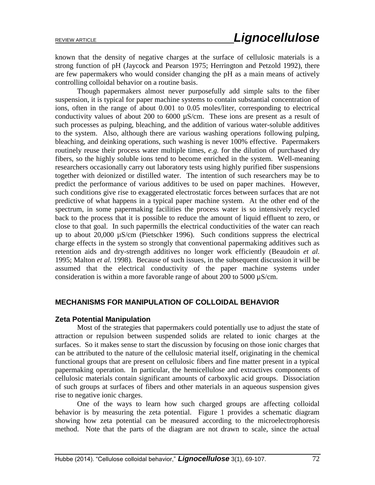known that the density of negative charges at the surface of cellulosic materials is a strong function of pH (Jaycock and Pearson 1975; Herrington and Petzold 1992), there are few papermakers who would consider changing the pH as a main means of actively controlling colloidal behavior on a routine basis.

Though papermakers almost never purposefully add simple salts to the fiber suspension, it is typical for paper machine systems to contain substantial concentration of ions, often in the range of about 0.001 to 0.05 moles/liter, corresponding to electrical conductivity values of about 200 to 6000  $\mu$ S/cm. These ions are present as a result of such processes as pulping, bleaching, and the addition of various water-soluble additives to the system. Also, although there are various washing operations following pulping, bleaching, and deinking operations, such washing is never 100% effective. Papermakers routinely reuse their process water multiple times, *e.g.* for the dilution of purchased dry fibers, so the highly soluble ions tend to become enriched in the system. Well-meaning researchers occasionally carry out laboratory tests using highly purified fiber suspensions together with deionized or distilled water. The intention of such researchers may be to predict the performance of various additives to be used on paper machines. However, such conditions give rise to exaggerated electrostatic forces between surfaces that are not predictive of what happens in a typical paper machine system. At the other end of the spectrum, in some papermaking facilities the process water is so intensively recycled back to the process that it is possible to reduce the amount of liquid effluent to zero, or close to that goal. In such papermills the electrical conductivities of the water can reach up to about 20,000 µS/cm (Pietschker 1996). Such conditions suppress the electrical charge effects in the system so strongly that conventional papermaking additives such as retention aids and dry-strength additives no longer work efficiently (Beaudoin *et al.* 1995; Malton *et al.* 1998). Because of such issues, in the subsequent discussion it will be assumed that the electrical conductivity of the paper machine systems under consideration is within a more favorable range of about 200 to 5000 µS/cm.

### **MECHANISMS FOR MANIPULATION OF COLLOIDAL BEHAVIOR**

#### **Zeta Potential Manipulation**

Most of the strategies that papermakers could potentially use to adjust the state of attraction or repulsion between suspended solids are related to ionic charges at the surfaces. So it makes sense to start the discussion by focusing on those ionic charges that can be attributed to the nature of the cellulosic material itself, originating in the chemical functional groups that are present on cellulosic fibers and fine matter present in a typical papermaking operation. In particular, the hemicellulose and extractives components of cellulosic materials contain significant amounts of carboxylic acid groups. Dissociation of such groups at surfaces of fibers and other materials in an aqueous suspension gives rise to negative ionic charges.

One of the ways to learn how such charged groups are affecting colloidal behavior is by measuring the zeta potential. Figure 1 provides a schematic diagram showing how zeta potential can be measured according to the microelectrophoresis method. Note that the parts of the diagram are not drawn to scale, since the actual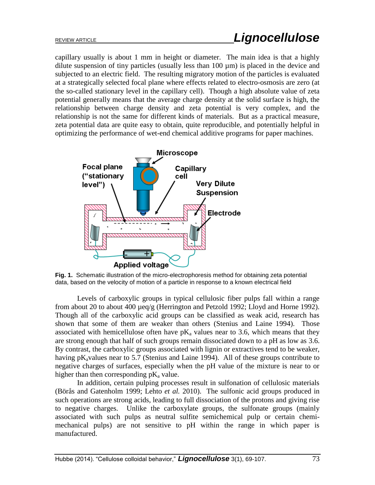capillary usually is about 1 mm in height or diameter. The main idea is that a highly dilute suspension of tiny particles (usually less than 100 µm) is placed in the device and subjected to an electric field. The resulting migratory motion of the particles is evaluated at a strategically selected focal plane where effects related to electro-osmosis are zero (at the so-called stationary level in the capillary cell). Though a high absolute value of zeta potential generally means that the average charge density at the solid surface is high, the relationship between charge density and zeta potential is very complex, and the relationship is not the same for different kinds of materials. But as a practical measure, zeta potential data are quite easy to obtain, quite reproducible, and potentially helpful in optimizing the performance of wet-end chemical additive programs for paper machines.



**Fig. 1.** Schematic illustration of the micro-electrophoresis method for obtaining zeta potential data, based on the velocity of motion of a particle in response to a known electrical field

Levels of carboxylic groups in typical cellulosic fiber pulps fall within a range from about 20 to about 400 µeq/g (Herrington and Petzold 1992; Lloyd and Horne 1992). Though all of the carboxylic acid groups can be classified as weak acid, research has shown that some of them are weaker than others (Stenius and Laine 1994). Those associated with hemicellulose often have  $pK_a$  values near to 3.6, which means that they are strong enough that half of such groups remain dissociated down to a pH as low as 3.6. By contrast, the carboxylic groups associated with lignin or extractives tend to be weaker, having  $pK_a$  values near to 5.7 (Stenius and Laine 1994). All of these groups contribute to negative charges of surfaces, especially when the pH value of the mixture is near to or higher than then corresponding  $pK_a$  value.

In addition, certain pulping processes result in sulfonation of cellulosic materials (Börås and Gatenholm 1999; Lehto *et al.* 2010). The sulfonic acid groups produced in such operations are strong acids, leading to full dissociation of the protons and giving rise to negative charges. Unlike the carboxylate groups, the sulfonate groups (mainly associated with such pulps as neutral sulfite semichemical pulp or certain chemimechanical pulps) are not sensitive to pH within the range in which paper is manufactured.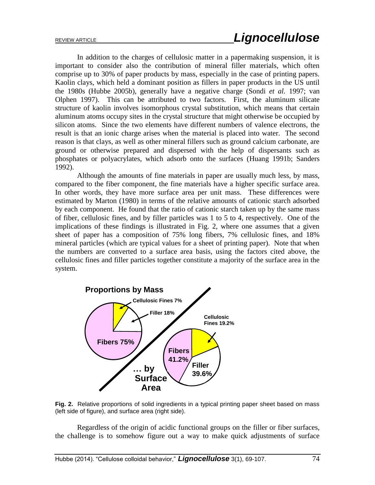In addition to the charges of cellulosic matter in a papermaking suspension, it is important to consider also the contribution of mineral filler materials, which often comprise up to 30% of paper products by mass, especially in the case of printing papers. Kaolin clays, which held a dominant position as fillers in paper products in the US until the 1980s (Hubbe 2005b), generally have a negative charge (Sondi *et al.* 1997; van Olphen 1997). This can be attributed to two factors. First, the aluminum silicate structure of kaolin involves isomorphous crystal substitution, which means that certain aluminum atoms occupy sites in the crystal structure that might otherwise be occupied by silicon atoms. Since the two elements have different numbers of valence electrons, the result is that an ionic charge arises when the material is placed into water. The second reason is that clays, as well as other mineral fillers such as ground calcium carbonate, are ground or otherwise prepared and dispersed with the help of dispersants such as phosphates or polyacrylates, which adsorb onto the surfaces (Huang 1991b; Sanders 1992).

Although the amounts of fine materials in paper are usually much less, by mass, compared to the fiber component, the fine materials have a higher specific surface area. In other words, they have more surface area per unit mass. These differences were estimated by Marton (1980) in terms of the relative amounts of cationic starch adsorbed by each component. He found that the ratio of cationic starch taken up by the same mass of fiber, cellulosic fines, and by filler particles was 1 to 5 to 4, respectively. One of the implications of these findings is illustrated in Fig. 2, where one assumes that a given sheet of paper has a composition of 75% long fibers, 7% cellulosic fines, and 18% mineral particles (which are typical values for a sheet of printing paper). Note that when the numbers are converted to a surface area basis, using the factors cited above, the cellulosic fines and filler particles together constitute a majority of the surface area in the system.



**Fig. 2.** Relative proportions of solid ingredients in a typical printing paper sheet based on mass (left side of figure), and surface area (right side).

Regardless of the origin of acidic functional groups on the filler or fiber surfaces, the challenge is to somehow figure out a way to make quick adjustments of surface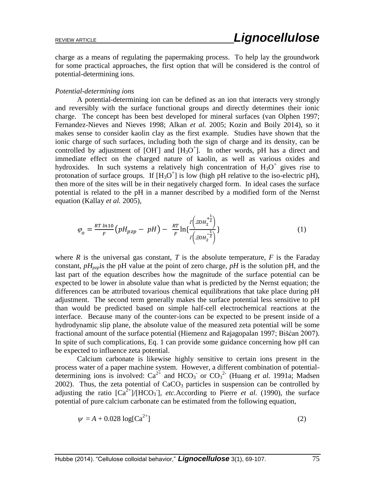charge as a means of regulating the papermaking process. To help lay the groundwork for some practical approaches, the first option that will be considered is the control of potential-determining ions.

#### *Potential-determining ions*

A potential-determining ion can be defined as an ion that interacts very strongly and reversibly with the surface functional groups and directly determines their ionic charge. The concept has been best developed for mineral surfaces (van Olphen 1997; Fernandez-Nieves and Nieves 1998; Alkan *et al.* 2005; Kozin and Boily 2014), so it makes sense to consider kaolin clay as the first example. Studies have shown that the ionic charge of such surfaces, including both the sign of charge and its density, can be controlled by adjustment of  $[OH]$  and  $[H<sub>3</sub>O<sup>+</sup>]$ . In other words, pH has a direct and immediate effect on the charged nature of kaolin, as well as various oxides and hydroxides. In such systems a relatively high concentration of  $H_3O^+$  gives rise to protonation of surface groups. If  $[H_3O^+]$  is low (high pH relative to the iso-electric pH), then more of the sites will be in their negatively charged form. In ideal cases the surface potential is related to the pH in a manner described by a modified form of the Nernst equation (Kallay *et al.* 2005),

$$
\varphi_o = \frac{RT \ln 10}{F} \left( pH_{pzp} - pH \right) - \frac{RT}{F} \ln \left\{ \frac{f \left( \mathcal{Z}OH_2^{\frac{1}{2}} \right)}{f \left( \mathcal{Z}OH_2^{\frac{1}{2}} \right)} \right\} \tag{1}
$$

where  $R$  is the universal gas constant,  $T$  is the absolute temperature,  $F$  is the Faraday constant,  $pH_{pzh}$  is the pH value at the point of zero charge,  $pH$  is the solution pH, and the last part of the equation describes how the magnitude of the surface potential can be expected to be lower in absolute value than what is predicted by the Nernst equation; the differences can be attributed tovarious chemical equilibrations that take place during pH adjustment. The second term generally makes the surface potential less sensitive to pH than would be predicted based on simple half-cell electrochemical reactions at the interface. Because many of the counter-ions can be expected to be present inside of a hydrodynamic slip plane, the absolute value of the measured zeta potential will be some fractional amount of the surface potential (Hiemenz and Rajagopalan 1997; Bišćan 2007). In spite of such complications, Eq. 1 can provide some guidance concerning how pH can be expected to influence zeta potential.

Calcium carbonate is likewise highly sensitive to certain ions present in the process water of a paper machine system. However, a different combination of potentialdetermining ions is involved:  $Ca^{2+}$  and  $HCO_3$  or  $CO_3^{2-}$  (Huang *et al.* 1991a; Madsen 2002). Thus, the zeta potential of  $CaCO<sub>3</sub>$  particles in suspension can be controlled by adjusting the ratio  $\left[\text{Ca}^{2+}\right]/\left[\text{HCO}_3\right]$ , *etc.*According to Pierre *et al.* (1990), the surface potential of pure calcium carbonate can be estimated from the following equation,

$$
\psi = A + 0.028 \log[\text{Ca}^{2+}] \tag{2}
$$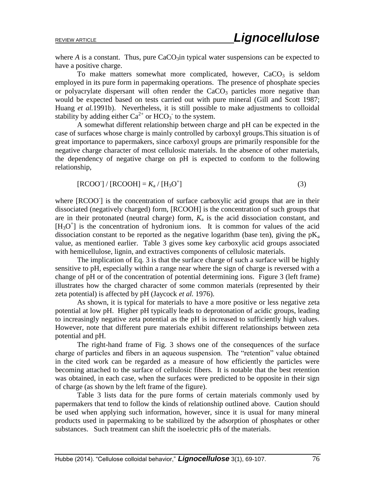where  $A$  is a constant. Thus, pure  $CaCO<sub>3</sub>$ in typical water suspensions can be expected to have a positive charge.

To make matters somewhat more complicated, however,  $CaCO<sub>3</sub>$  is seldom employed in its pure form in papermaking operations. The presence of phosphate species or polyacrylate dispersant will often render the  $CaCO<sub>3</sub>$  particles more negative than would be expected based on tests carried out with pure mineral (Gill and Scott 1987; Huang *et al.*1991b). Nevertheless, it is still possible to make adjustments to colloidal stability by adding either  $Ca^{2+}$  or  $HCO_3^-$  to the system.

A somewhat different relationship between charge and pH can be expected in the case of surfaces whose charge is mainly controlled by carboxyl groups.This situation is of great importance to papermakers, since carboxyl groups are primarily responsible for the negative charge character of most cellulosic materials. In the absence of other materials, the dependency of negative charge on pH is expected to conform to the following relationship,

$$
[RCOO^{\dagger}] / [RCOOH] = K_a / [H_3O^{\dagger}] \tag{3}
$$

where [RCOO<sup>-</sup>] is the concentration of surface carboxylic acid groups that are in their dissociated (negatively charged) form, [RCOOH] is the concentration of such groups that are in their protonated (neutral charge) form,  $K_a$  is the acid dissociation constant, and  $[H_3O^+]$  is the concentration of hydronium ions. It is common for values of the acid dissociation constant to be reported as the negative logarithm (base ten), giving the  $pK_a$ value, as mentioned earlier. Table 3 gives some key carboxylic acid groups associated with hemicellulose, lignin, and extractives components of cellulosic materials.

The implication of Eq. 3 is that the surface charge of such a surface will be highly sensitive to pH, especially within a range near where the sign of charge is reversed with a change of pH or of the concentration of potential determining ions. Figure 3 (left frame) illustrates how the charged character of some common materials (represented by their zeta potential) is affected by pH (Jaycock *et al.* 1976).

As shown, it is typical for materials to have a more positive or less negative zeta potential at low pH. Higher pH typically leads to deprotonation of acidic groups, leading to increasingly negative zeta potential as the pH is increased to sufficiently high values. However, note that different pure materials exhibit different relationships between zeta potential and pH.

The right-hand frame of Fig. 3 shows one of the consequences of the surface charge of particles and fibers in an aqueous suspension. The "retention" value obtained in the cited work can be regarded as a measure of how efficiently the particles were becoming attached to the surface of cellulosic fibers. It is notable that the best retention was obtained, in each case, when the surfaces were predicted to be opposite in their sign of charge (as shown by the left frame of the figure).

Table 3 lists data for the pure forms of certain materials commonly used by papermakers that tend to follow the kinds of relationship outlined above. Caution should be used when applying such information, however, since it is usual for many mineral products used in papermaking to be stabilized by the adsorption of phosphates or other substances. Such treatment can shift the isoelectric pHs of the materials.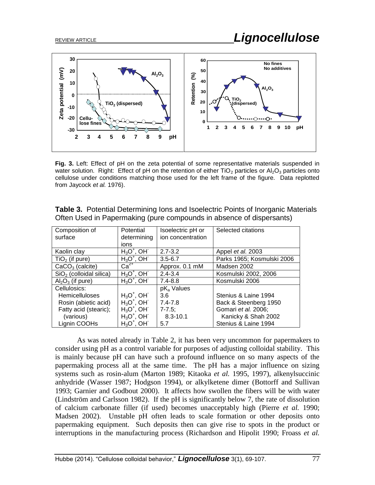

**Fig. 3.** Left: Effect of pH on the zeta potential of some representative materials suspended in water solution. Right: Effect of pH on the retention of either  $TiO<sub>2</sub>$  particles or Al<sub>2</sub>O<sub>3</sub> particles onto cellulose under conditions matching those used for the left frame of the figure. Data replotted from Jaycock *et al.* 1976).

| Composition of            | Potential     | Isoelectric pH or      | Selected citations         |
|---------------------------|---------------|------------------------|----------------------------|
| surface                   | determining   | ion concentration      |                            |
|                           | ions          |                        |                            |
| Kaolin clay               | $H_3O^+$ , OH | $2.7 - 3.2$            | Appel et al. 2003          |
| $TiO2$ (if pure)          | $H_3O^+$ , OH | $3.5 - 6.7$            | Parks 1965; Kosmulski 2006 |
| $CaCO3$ (calcite)         | $Ca2+$        | Approx. 0.1 mM         | Madsen 2002                |
| $SiO2$ (colloidal silica) | $H_3O^+$ , OH | $2.4 - 3.4$            | Kosmulski 2002, 2006       |
| $Al_2O_3$ (if pure)       | $H_3O^+$ , OH | $7.4 - 8.8$            | Kosmulski 2006             |
| Cellulosics:              |               | pK <sub>a</sub> Values |                            |
| <b>Hemicelluloses</b>     | $H_3O^+$ , OH | 3.6                    | Stenius & Laine 1994       |
| Rosin (abietic acid)      | $H_3O^+$ , OH | $7.4 - 7.8$            | Back & Steenberg 1950      |
| Fatty acid (stearic);     | $H_3O^+$ , OH | $7 - 7.5$ ;            | Gomari et al. 2006;        |
| (various)                 | $H_3O^+$ , OH | $8.3 - 10.1$           | Kanicky & Shah 2002        |
| Lignin COOHs              | $H_3O^+$ , OH | 5.7                    | Stenius & Laine 1994       |

**Table 3.** Potential Determining Ions and Isoelectric Points of Inorganic Materials Often Used in Papermaking (pure compounds in absence of dispersants)

As was noted already in Table 2, it has been very uncommon for papermakers to consider using pH as a control variable for purposes of adjusting colloidal stability. This is mainly because pH can have such a profound influence on so many aspects of the papermaking process all at the same time. The pH has a major influence on sizing systems such as rosin-alum (Marton 1989; Kitaoka *et al.* 1995, 1997), alkenylsuccinic anhydride (Wasser 1987; Hodgson 1994), or alkylketene dimer (Bottorff and Sullivan 1993; Garnier and Godbout 2000). It affects how swollen the fibers will be with water (Lindström and Carlsson 1982). If the pH is significantly below 7, the rate of dissolution of calcium carbonate filler (if used) becomes unacceptably high (Pierre *et al.* 1990; Madsen 2002). Unstable pH often leads to scale formation or other deposits onto papermaking equipment. Such deposits then can give rise to spots in the product or interruptions in the manufacturing process (Richardson and Hipolit 1990; Froass *et al.*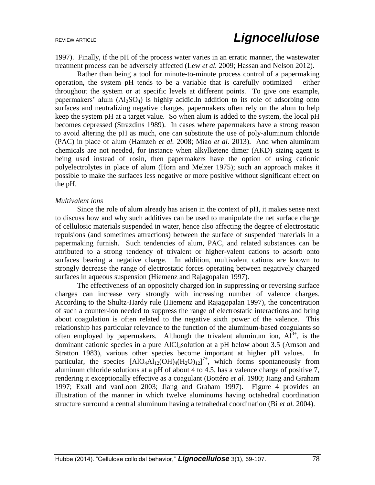1997). Finally, if the pH of the process water varies in an erratic manner, the wastewater treatment process can be adversely affected (Lew *et al.* 2009; Hassan and Nelson 2012).

Rather than being a tool for minute-to-minute process control of a papermaking operation, the system pH tends to be a variable that is carefully optimized – either throughout the system or at specific levels at different points. To give one example, papermakers' alum  $(A_2SO_4)$  is highly acidic. In addition to its role of adsorbing onto surfaces and neutralizing negative charges, papermakers often rely on the alum to help keep the system pH at a target value. So when alum is added to the system, the local pH becomes depressed (Strazdins 1989). In cases where papermakers have a strong reason to avoid altering the pH as much, one can substitute the use of poly-aluminum chloride (PAC) in place of alum (Hamzeh *et al.* 2008; Miao *et al.* 2013). And when aluminum chemicals are not needed, for instance when alkylketene dimer (AKD) sizing agent is being used instead of rosin, then papermakers have the option of using cationic polyelectrolytes in place of alum (Horn and Melzer 1975); such an approach makes it possible to make the surfaces less negative or more positive without significant effect on the pH.

#### *Multivalent ions*

Since the role of alum already has arisen in the context of pH, it makes sense next to discuss how and why such additives can be used to manipulate the net surface charge of cellulosic materials suspended in water, hence also affecting the degree of electrostatic repulsions (and sometimes attractions) between the surface of suspended materials in a papermaking furnish. Such tendencies of alum, PAC, and related substances can be attributed to a strong tendency of trivalent or higher-valent cations to adsorb onto surfaces bearing a negative charge. In addition, multivalent cations are known to strongly decrease the range of electrostatic forces operating between negatively charged surfaces in aqueous suspension (Hiemenz and Rajagopalan 1997).

The effectiveness of an oppositely charged ion in suppressing or reversing surface charges can increase very strongly with increasing number of valence charges. According to the Shultz-Hardy rule (Hiemenz and Rajagopalan 1997), the concentration of such a counter-ion needed to suppress the range of electrostatic interactions and bring about coagulation is often related to the negative sixth power of the valence. This relationship has particular relevance to the function of the aluminum-based coagulants so often employed by papermakers. Although the trivalent aluminum ion,  $Al^{3+}$ , is the dominant cationic species in a pure AlCl<sub>3</sub>solution at a pH below about 3.5 (Arnson and Stratton 1983), various other species become important at higher pH values. In particular, the species  $[AIO_4AI_{12}(OH)_4(H_2O)_{12}]^{7+}$ , which forms spontaneously from aluminum chloride solutions at a pH of about 4 to 4.5, has a valence charge of positive 7, rendering it exceptionally effective as a coagulant (Bottéro *et al.* 1980; Jiang and Graham 1997; Exall and vanLoon 2003; Jiang and Graham 1997). Figure 4 provides an illustration of the manner in which twelve aluminums having octahedral coordination structure surround a central aluminum having a tetrahedral coordination (Bi *et al.* 2004).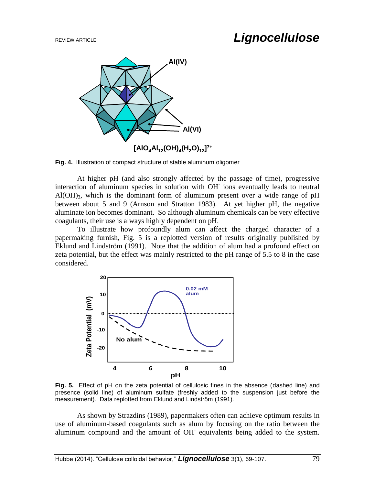

**Fig. 4.** Illustration of compact structure of stable aluminum oligomer

At higher pH (and also strongly affected by the passage of time), progressive interaction of aluminum species in solution with OH-ions eventually leads to neutral  $Al(OH)_{3}$ , which is the dominant form of aluminum present over a wide range of pH between about 5 and 9 (Arnson and Stratton 1983). At yet higher pH, the negative aluminate ion becomes dominant. So although aluminum chemicals can be very effective coagulants, their use is always highly dependent on pH.

To illustrate how profoundly alum can affect the charged character of a papermaking furnish, Fig. 5 is a replotted version of results originally published by Eklund and Lindström (1991). Note that the addition of alum had a profound effect on zeta potential, but the effect was mainly restricted to the pH range of 5.5 to 8 in the case considered.



**Fig. 5.** Effect of pH on the zeta potential of cellulosic fines in the absence (dashed line) and presence (solid line) of aluminum sulfate (freshly added to the suspension just before the measurement). Data replotted from Eklund and Lindström (1991).

As shown by Strazdins (1989), papermakers often can achieve optimum results in use of aluminum-based coagulants such as alum by focusing on the ratio between the aluminum compound and the amount of OH<sup>-</sup> equivalents being added to the system.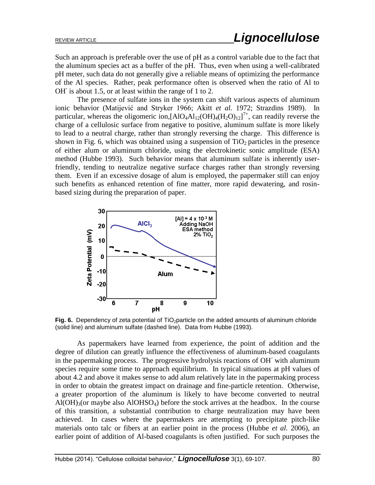Such an approach is preferable over the use of pH as a control variable due to the fact that the aluminum species act as a buffer of the pH. Thus, even when using a well-calibrated pH meter, such data do not generally give a reliable means of optimizing the performance of the Al species. Rather, peak performance often is observed when the ratio of Al to OH is about 1.5, or at least within the range of 1 to 2.

The presence of sulfate ions in the system can shift various aspects of aluminum ionic behavior (Matijević and Stryker 1966; Akitt *et al.* 1972; Strazdins 1989). In particular, whereas the oligomeric ion,  $[AIO_4AI_{12}(OH)_4(H_2O)_{12}]^{7+}$ , can readily reverse the charge of a cellulosic surface from negative to positive, aluminum sulfate is more likely to lead to a neutral charge, rather than strongly reversing the charge. This difference is shown in Fig. 6, which was obtained using a suspension of  $TiO<sub>2</sub>$  particles in the presence of either alum or aluminum chloride, using the electrokinetic sonic amplitude (ESA) method (Hubbe 1993). Such behavior means that aluminum sulfate is inherently userfriendly, tending to neutralize negative surface charges rather than strongly reversing them. Even if an excessive dosage of alum is employed, the papermaker still can enjoy such benefits as enhanced retention of fine matter, more rapid dewatering, and rosinbased sizing during the preparation of paper.



Fig. 6. Dependency of zeta potential of TiO<sub>2</sub>particle on the added amounts of aluminum chloride (solid line) and aluminum sulfate (dashed line). Data from Hubbe (1993).

As papermakers have learned from experience, the point of addition and the degree of dilution can greatly influence the effectiveness of aluminum-based coagulants in the papermaking process. The progressive hydrolysis reactions of OH- with aluminum species require some time to approach equilibrium. In typical situations at pH values of about 4.2 and above it makes sense to add alum relatively late in the papermaking process in order to obtain the greatest impact on drainage and fine-particle retention. Otherwise, a greater proportion of the aluminum is likely to have become converted to neutral  $A I(OH)_{3}$  (or maybe also  $A I O H SO<sub>4</sub>$ ) before the stock arrives at the headbox. In the course of this transition, a substantial contribution to charge neutralization may have been achieved. In cases where the papermakers are attempting to precipitate pitch-like materials onto talc or fibers at an earlier point in the process (Hubbe *et al.* 2006), an earlier point of addition of Al-based coagulants is often justified. For such purposes the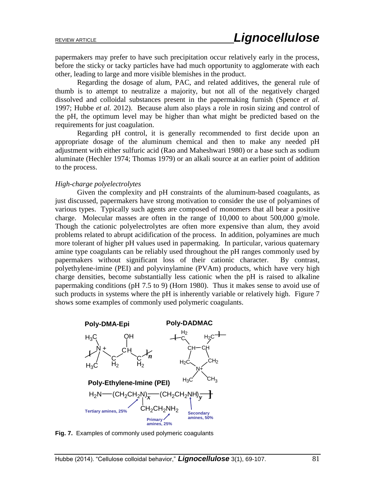papermakers may prefer to have such precipitation occur relatively early in the process, before the sticky or tacky particles have had much opportunity to agglomerate with each other, leading to large and more visible blemishes in the product.

Regarding the dosage of alum, PAC, and related additives, the general rule of thumb is to attempt to neutralize a majority, but not all of the negatively charged dissolved and colloidal substances present in the papermaking furnish (Spence *et al.* 1997; Hubbe *et al.* 2012). Because alum also plays a role in rosin sizing and control of the pH, the optimum level may be higher than what might be predicted based on the requirements for just coagulation.

Regarding pH control, it is generally recommended to first decide upon an appropriate dosage of the aluminum chemical and then to make any needed pH adjustment with either sulfuric acid (Rao and Maheshwari 1980) or a base such as sodium aluminate (Hechler 1974; Thomas 1979) or an alkali source at an earlier point of addition to the process.

#### *High-charge polyelectrolytes*

Given the complexity and pH constraints of the aluminum-based coagulants, as just discussed, papermakers have strong motivation to consider the use of polyamines of various types. Typically such agents are composed of monomers that all bear a positive charge. Molecular masses are often in the range of  $10,000$  to about  $500,000$  g/mole. Though the cationic polyelectrolytes are often more expensive than alum, they avoid problems related to abrupt acidification of the process. In addition, polyamines are much more tolerant of higher pH values used in papermaking. In particular, various quaternary amine type coagulants can be reliably used throughout the pH ranges commonly used by papermakers without significant loss of their cationic character. By contrast, polyethylene-imine (PEI) and polyvinylamine (PVAm) products, which have very high charge densities, become substantially less cationic when the pH is raised to alkaline papermaking conditions (pH 7.5 to 9) (Horn 1980). Thus it makes sense to avoid use of such products in systems where the pH is inherently variable or relatively high. Figure 7 shows some examples of commonly used polymeric coagulants.



**Fig. 7.** Examples of commonly used polymeric coagulants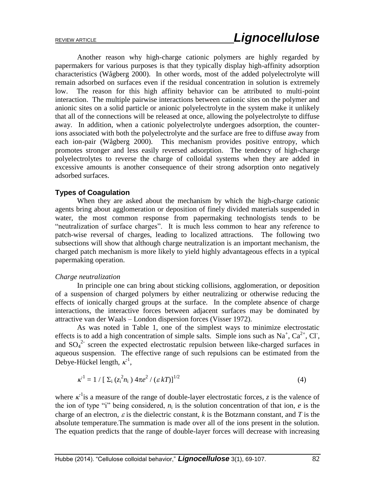Another reason why high-charge cationic polymers are highly regarded by papermakers for various purposes is that they typically display high-affinity adsorption characteristics (Wågberg 2000). In other words, most of the added polyelectrolyte will remain adsorbed on surfaces even if the residual concentration in solution is extremely low. The reason for this high affinity behavior can be attributed to multi-point interaction. The multiple pairwise interactions between cationic sites on the polymer and anionic sites on a solid particle or anionic polyelectrolyte in the system make it unlikely that all of the connections will be released at once, allowing the polyelectrolyte to diffuse away. In addition, when a cationic polyelectrolyte undergoes adsorption, the counterions associated with both the polyelectrolyte and the surface are free to diffuse away from each ion-pair (Wågberg 2000). This mechanism provides positive entropy, which promotes stronger and less easily reversed adsorption. The tendency of high-charge polyelectrolytes to reverse the charge of colloidal systems when they are added in excessive amounts is another consequence of their strong adsorption onto negatively adsorbed surfaces.

## **Types of Coagulation**

When they are asked about the mechanism by which the high-charge cationic agents bring about agglomeration or deposition of finely divided materials suspended in water, the most common response from papermaking technologists tends to be "neutralization of surface charges". It is much less common to hear any reference to patch-wise reversal of charges, leading to localized attractions. The following two subsections will show that although charge neutralization is an important mechanism, the charged patch mechanism is more likely to yield highly advantageous effects in a typical papermaking operation.

#### *Charge neutralization*

In principle one can bring about sticking collisions, agglomeration, or deposition of a suspension of charged polymers by either neutralizing or otherwise reducing the effects of ionically charged groups at the surface. In the complete absence of charge interactions, the interactive forces between adjacent surfaces may be dominated by attractive van der Waals – London dispersion forces (Visser 1972).

As was noted in Table 1, one of the simplest ways to minimize electrostatic effects is to add a high concentration of simple salts. Simple ions such as  $Na^+$ ,  $Ca^{2+}$ , Cl, and SO<sub>4</sub><sup>2</sup> screen the expected electrostatic repulsion between like-charged surfaces in aqueous suspension. The effective range of such repulsions can be estimated from the Debye-Hückel length,  $\kappa^1$ ,

$$
\kappa^1 = 1 / [\Sigma_i (z_i^2 n_i) 4\pi e^2 / (\varepsilon kT)]^{1/2}
$$
 (4)

where  $\kappa^{-1}$  is a measure of the range of double-layer electrostatic forces, *z* is the valence of the ion of type "i" being considered,  $n_i$  is the solution concentration of that ion,  $e$  is the charge of an electron,  $\varepsilon$  is the dielectric constant,  $k$  is the Botzmann constant, and  $T$  is the absolute temperature.The summation is made over all of the ions present in the solution. The equation predicts that the range of double-layer forces will decrease with increasing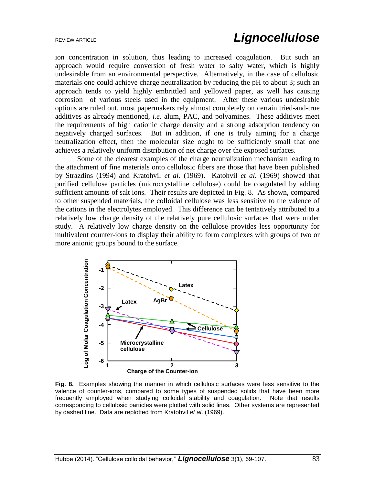ion concentration in solution, thus leading to increased coagulation. But such an approach would require conversion of fresh water to salty water, which is highly undesirable from an environmental perspective. Alternatively, in the case of cellulosic materials one could achieve charge neutralization by reducing the pH to about 3; such an approach tends to yield highly embrittled and yellowed paper, as well has causing corrosion of various steels used in the equipment. After these various undesirable options are ruled out, most papermakers rely almost completely on certain tried-and-true additives as already mentioned, *i.e.* alum, PAC, and polyamines. These additives meet the requirements of high cationic charge density and a strong adsorption tendency on negatively charged surfaces. But in addition, if one is truly aiming for a charge neutralization effect, then the molecular size ought to be sufficiently small that one achieves a relatively uniform distribution of net charge over the exposed surfaces.

Some of the clearest examples of the charge neutralization mechanism leading to the attachment of fine materials onto cellulosic fibers are those that have been published by Strazdins (1994) and Kratohvil *et al.* (1969). Katohvil *et al.* (1969) showed that purified cellulose particles (microcrystalline cellulose) could be coagulated by adding sufficient amounts of salt ions. Their results are depicted in Fig. 8. As shown, compared to other suspended materials, the colloidal cellulose was less sensitive to the valence of the cations in the electrolytes employed. This difference can be tentatively attributed to a relatively low charge density of the relatively pure cellulosic surfaces that were under study. A relatively low charge density on the cellulose provides less opportunity for multivalent counter-ions to display their ability to form complexes with groups of two or more anionic groups bound to the surface.



**Fig. 8.** Examples showing the manner in which cellulosic surfaces were less sensitive to the valence of counter-ions, compared to some types of suspended solids that have been more frequently employed when studying colloidal stability and coagulation. Note that results corresponding to cellulosic particles were plotted with solid lines. Other systems are represented by dashed line. Data are replotted from Kratohvil *et al*. (1969).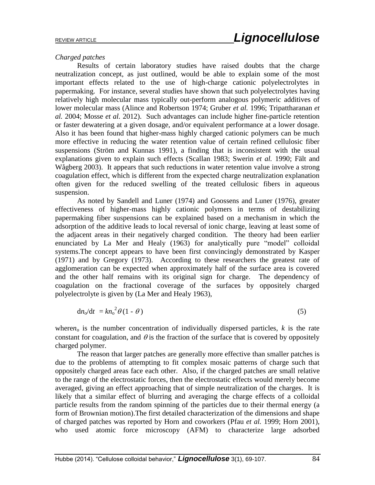### *Charged patches*

Results of certain laboratory studies have raised doubts that the charge neutralization concept, as just outlined, would be able to explain some of the most important effects related to the use of high-charge cationic polyelectrolytes in papermaking. For instance, several studies have shown that such polyelectrolytes having relatively high molecular mass typically out-perform analogous polymeric additives of lower molecular mass (Alince and Robertson 1974; Gruber *et al.* 1996; Tripattharanan *et al.* 2004; Mosse *et al.* 2012). Such advantages can include higher fine-particle retention or faster dewatering at a given dosage, and/or equivalent performance at a lower dosage. Also it has been found that higher-mass highly charged cationic polymers can be much more effective in reducing the water retention value of certain refined cellulosic fiber suspensions (Ström and Kunnas 1991), a finding that is inconsistent with the usual explanations given to explain such effects (Scallan 1983; Swerin *et al.* 1990; Fält and Wågberg 2003). It appears that such reductions in water retention value involve a strong coagulation effect, which is different from the expected charge neutralization explanation often given for the reduced swelling of the treated cellulosic fibers in aqueous suspension.

As noted by Sandell and Luner (1974) and Goossens and Luner (1976), greater effectiveness of higher-mass highly cationic polymers in terms of destabilizing papermaking fiber suspensions can be explained based on a mechanism in which the adsorption of the additive leads to local reversal of ionic charge, leaving at least some of the adjacent areas in their negatively charged condition. The theory had been earlier enunciated by La Mer and Healy (1963) for analytically pure "model" colloidal systems.The concept appears to have been first convincingly demonstrated by Kasper (1971) and by Gregory (1973). According to these researchers the greatest rate of agglomeration can be expected when approximately half of the surface area is covered and the other half remains with its original sign for charge. The dependency of coagulation on the fractional coverage of the surfaces by oppositely charged polyelectrolyte is given by (La Mer and Healy 1963),

$$
dn_0/dt = kn_0^2 \theta (1 - \theta) \tag{5}
$$

where $n_0$  is the number concentration of individually dispersed particles,  $k$  is the rate constant for coagulation, and  $\theta$  is the fraction of the surface that is covered by oppositely charged polymer.

The reason that larger patches are generally more effective than smaller patches is due to the problems of attempting to fit complex mosaic patterns of charge such that oppositely charged areas face each other. Also, if the charged patches are small relative to the range of the electrostatic forces, then the electrostatic effects would merely become averaged, giving an effect approaching that of simple neutralization of the charges. It is likely that a similar effect of blurring and averaging the charge effects of a colloidal particle results from the random spinning of the particles due to their thermal energy (a form of Brownian motion).The first detailed characterization of the dimensions and shape of charged patches was reported by Horn and coworkers (Pfau *et al.* 1999; Horn 2001), who used atomic force microscopy (AFM) to characterize large adsorbed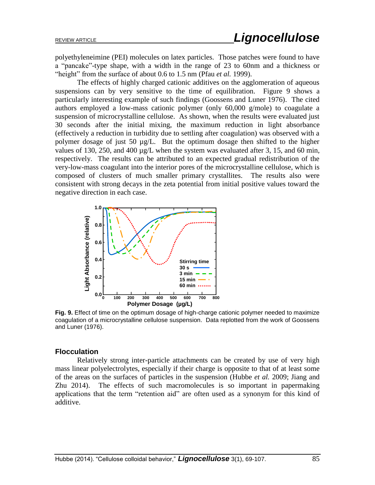polyethyleneimine (PEI) molecules on latex particles. Those patches were found to have a "pancake"-type shape, with a width in the range of 23 to 60nm and a thickness or "height" from the surface of about 0.6 to 1.5 nm (Pfau *et al.* 1999).

The effects of highly charged cationic additives on the agglomeration of aqueous suspensions can by very sensitive to the time of equilibration. Figure 9 shows a particularly interesting example of such findings (Goossens and Luner 1976). The cited authors employed a low-mass cationic polymer (only 60,000 g/mole) to coagulate a suspension of microcrystalline cellulose. As shown, when the results were evaluated just 30 seconds after the initial mixing, the maximum reduction in light absorbance (effectively a reduction in turbidity due to settling after coagulation) was observed with a polymer dosage of just 50 µg/L. But the optimum dosage then shifted to the higher values of 130, 250, and 400 µg/L when the system was evaluated after 3, 15, and 60 min, respectively. The results can be attributed to an expected gradual redistribution of the very-low-mass coagulant into the interior pores of the microcrystalline cellulose, which is composed of clusters of much smaller primary crystallites. The results also were consistent with strong decays in the zeta potential from initial positive values toward the negative direction in each case.



**Fig. 9.** Effect of time on the optimum dosage of high-charge cationic polymer needed to maximize coagulation of a microcrystalline cellulose suspension. Data replotted from the work of Goossens and Luner (1976).

#### **Flocculation**

Relatively strong inter-particle attachments can be created by use of very high mass linear polyelectrolytes, especially if their charge is opposite to that of at least some of the areas on the surfaces of particles in the suspension (Hubbe *et al.* 2009; Jiang and Zhu 2014). The effects of such macromolecules is so important in papermaking applications that the term "retention aid" are often used as a synonym for this kind of additive.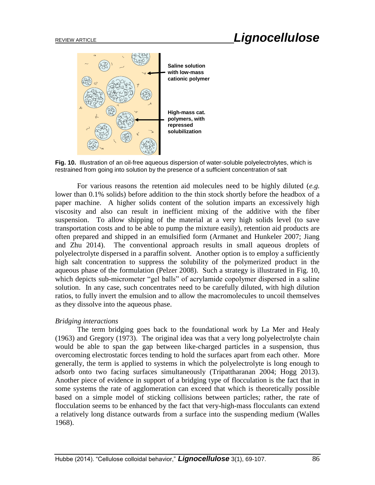

**Fig. 10.** Illustration of an oil-free aqueous dispersion of water-soluble polyelectrolytes, which is restrained from going into solution by the presence of a sufficient concentration of salt

For various reasons the retention aid molecules need to be highly diluted (*e.g.* lower than 0.1% solids) before addition to the thin stock shortly before the headbox of a paper machine. A higher solids content of the solution imparts an excessively high viscosity and also can result in inefficient mixing of the additive with the fiber suspension. To allow shipping of the material at a very high solids level (to save transportation costs and to be able to pump the mixture easily), retention aid products are often prepared and shipped in an emulsified form (Armanet and Hunkeler 2007; Jiang and Zhu 2014). The conventional approach results in small aqueous droplets of polyelectrolyte dispersed in a paraffin solvent. Another option is to employ a sufficiently high salt concentration to suppress the solubility of the polymerized product in the aqueous phase of the formulation (Pelzer 2008). Such a strategy is illustrated in Fig. 10, which depicts sub-micrometer "gel balls" of acrylamide copolymer dispersed in a saline solution. In any case, such concentrates need to be carefully diluted, with high dilution ratios, to fully invert the emulsion and to allow the macromolecules to uncoil themselves as they dissolve into the aqueous phase.

#### *Bridging interactions*

The term bridging goes back to the foundational work by La Mer and Healy (1963) and Gregory (1973). The original idea was that a very long polyelectrolyte chain would be able to span the gap between like-charged particles in a suspension, thus overcoming electrostatic forces tending to hold the surfaces apart from each other. More generally, the term is applied to systems in which the polyelectrolyte is long enough to adsorb onto two facing surfaces simultaneously (Tripattharanan 2004; Hogg 2013). Another piece of evidence in support of a bridging type of flocculation is the fact that in some systems the rate of agglomeration can exceed that which is theoretically possible based on a simple model of sticking collisions between particles; rather, the rate of flocculation seems to be enhanced by the fact that very-high-mass flocculants can extend a relatively long distance outwards from a surface into the suspending medium (Walles 1968).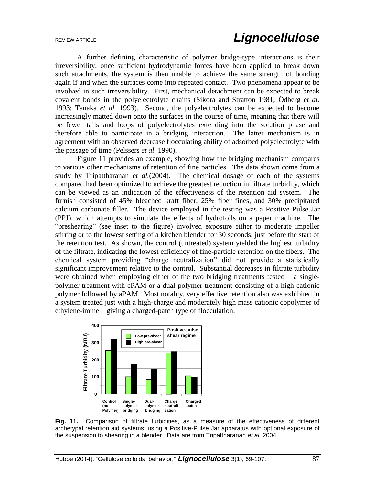A further defining characteristic of polymer bridge-type interactions is their irreversibility; once sufficient hydrodynamic forces have been applied to break down such attachments, the system is then unable to achieve the same strength of bonding again if and when the surfaces come into repeated contact. Two phenomena appear to be involved in such irreversibility. First, mechanical detachment can be expected to break covalent bonds in the polyelectrolyte chains (Sikora and Stratton 1981; Ödberg *et al.* 1993; Tanaka *et al.* 1993). Second, the polyelectrolytes can be expected to become increasingly matted down onto the surfaces in the course of time, meaning that there will be fewer tails and loops of polyelectrolytes extending into the solution phase and therefore able to participate in a bridging interaction. The latter mechanism is in agreement with an observed decrease flocculating ability of adsorbed polyelectrolyte with the passage of time (Pelssers *et al.* 1990).

Figure 11 provides an example, showing how the bridging mechanism compares to various other mechanisms of retention of fine particles. The data shown come from a study by Tripattharanan *et al.*(2004). The chemical dosage of each of the systems compared had been optimized to achieve the greatest reduction in filtrate turbidity, which can be viewed as an indication of the effectiveness of the retention aid system. The furnish consisted of 45% bleached kraft fiber, 25% fiber fines, and 30% precipitated calcium carbonate filler. The device employed in the testing was a Positive Pulse Jar (PPJ), which attempts to simulate the effects of hydrofoils on a paper machine. The "preshearing" (see inset to the figure) involved exposure either to moderate impeller stirring or to the lowest setting of a kitchen blender for 30 seconds, just before the start of the retention test. As shown, the control (untreated) system yielded the highest turbidity of the filtrate, indicating the lowest efficiency of fine-particle retention on the fibers. The chemical system providing "charge neutralization" did not provide a statistically significant improvement relative to the control. Substantial decreases in filtrate turbidity were obtained when employing either of the two bridging treatments tested  $-$  a singlepolymer treatment with cPAM or a dual-polymer treatment consisting of a high-cationic polymer followed by aPAM. Most notably, very effective retention also was exhibited in a system treated just with a high-charge and moderately high mass cationic copolymer of ethylene-imine – giving a charged-patch type of flocculation.



**Fig. 11.** Comparison of filtrate turbidities, as a measure of the effectiveness of different archetypal retention aid systems, using a Positive-Pulse Jar apparatus with optional exposure of the suspension to shearing in a blender. Data are from Tripattharanan *et al*. 2004.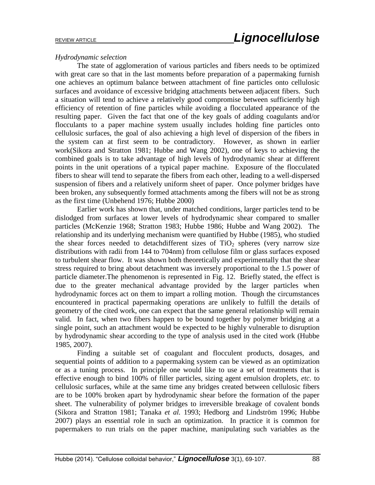### *Hydrodynamic selection*

The state of agglomeration of various particles and fibers needs to be optimized with great care so that in the last moments before preparation of a papermaking furnish one achieves an optimum balance between attachment of fine particles onto cellulosic surfaces and avoidance of excessive bridging attachments between adjacent fibers. Such a situation will tend to achieve a relatively good compromise between sufficiently high efficiency of retention of fine particles while avoiding a flocculated appearance of the resulting paper. Given the fact that one of the key goals of adding coagulants and/or flocculants to a paper machine system usually includes holding fine particles onto cellulosic surfaces, the goal of also achieving a high level of dispersion of the fibers in the system can at first seem to be contradictory. However, as shown in earlier work(Sikora and Stratton 1981; Hubbe and Wang 2002), one of keys to achieving the combined goals is to take advantage of high levels of hydrodynamic shear at different points in the unit operations of a typical paper machine. Exposure of the flocculated fibers to shear will tend to separate the fibers from each other, leading to a well-dispersed suspension of fibers and a relatively uniform sheet of paper. Once polymer bridges have been broken, any subsequently formed attachments among the fibers will not be as strong as the first time (Unbehend 1976; Hubbe 2000)

Earlier work has shown that, under matched conditions, larger particles tend to be dislodged from surfaces at lower levels of hydrodynamic shear compared to smaller particles (McKenzie 1968; Stratton 1983; Hubbe 1986; Hubbe and Wang 2002). The relationship and its underlying mechanism were quantified by Hubbe (1985), who studied the shear forces needed to detachdifferent sizes of  $TiO<sub>2</sub>$  spheres (very narrow size distributions with radii from 144 to 704nm) from cellulose film or glass surfaces exposed to turbulent shear flow. It was shown both theoretically and experimentally that the shear stress required to bring about detachment was inversely proportional to the 1.5 power of particle diameter.The phenomenon is represented in Fig. 12. Briefly stated, the effect is due to the greater mechanical advantage provided by the larger particles when hydrodynamic forces act on them to impart a rolling motion. Though the circumstances encountered in practical papermaking operations are unlikely to fulfill the details of geometry of the cited work, one can expect that the same general relationship will remain valid. In fact, when two fibers happen to be bound together by polymer bridging at a single point, such an attachment would be expected to be highly vulnerable to disruption by hydrodynamic shear according to the type of analysis used in the cited work (Hubbe 1985, 2007).

Finding a suitable set of coagulant and flocculent products, dosages, and sequential points of addition to a papermaking system can be viewed as an optimization or as a tuning process. In principle one would like to use a set of treatments that is effective enough to bind 100% of filler particles, sizing agent emulsion droplets, *etc.* to cellulosic surfaces, while at the same time any bridges created between cellulosic fibers are to be 100% broken apart by hydrodynamic shear before the formation of the paper sheet. The vulnerability of polymer bridges to irreversible breakage of covalent bonds (Sikora and Stratton 1981; Tanaka *et al.* 1993; Hedborg and Lindström 1996; Hubbe 2007) plays an essential role in such an optimization. In practice it is common for papermakers to run trials on the paper machine, manipulating such variables as the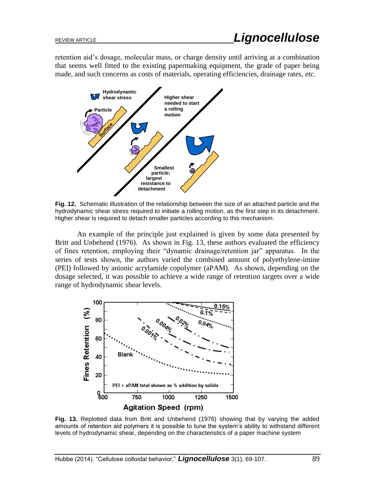retention aid's dosage, molecular mass, or charge density until arriving at a combination that seems well fitted to the existing papermaking equipment, the grade of paper being made, and such concerns as costs of materials, operating efficiencies, drainage rates, *etc.*



**Fig. 12.** Schematic illustration of the relationship between the size of an attached particle and the hydrodynamic shear stress required to initiate a rolling motion, as the first step in its detachment. Higher shear is required to detach smaller particles according to this mechanism.

An example of the principle just explained is given by some data presented by Britt and Unbehend (1976). As shown in Fig. 13, these authors evaluated the efficiency of fines retention, employing their "dynamic drainage/retention jar" apparatus. In the series of tests shown, the authors varied the combined amount of polyethylene-imine (PEI) followed by anionic acrylamide copolymer (aPAM). As shown, depending on the dosage selected, it was possible to achieve a wide range of retention targets over a wide range of hydrodynamic shear levels.



**Fig. 13.** Replotted data from Britt and Unbehend (1976) showing that by varying the added amounts of retention aid polymers it is possible to tune the system's ability to withstand different levels of hydrodynamic shear, depending on the characteristics of a paper machine system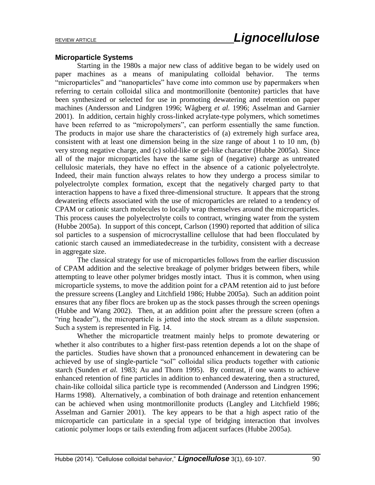## **Microparticle Systems**

Starting in the 1980s a major new class of additive began to be widely used on paper machines as a means of manipulating colloidal behavior. The terms "microparticles" and "nanoparticles" have come into common use by papermakers when referring to certain colloidal silica and montmorillonite (bentonite) particles that have been synthesized or selected for use in promoting dewatering and retention on paper machines (Andersson and Lindgren 1996; Wågberg *et al.* 1996; Asselman and Garnier 2001). In addition, certain highly cross-linked acrylate-type polymers, which sometimes have been referred to as "micropolymers", can perform essentially the same function. The products in major use share the characteristics of (a) extremely high surface area, consistent with at least one dimension being in the size range of about 1 to 10 nm, (b) very strong negative charge, and (c) solid-like or gel-like character (Hubbe 2005a). Since all of the major microparticles have the same sign of (negative) charge as untreated cellulosic materials, they have no effect in the absence of a cationic polyelectrolyte. Indeed, their main function always relates to how they undergo a process similar to polyelectrolyte complex formation, except that the negatively charged party to that interaction happens to have a fixed three-dimensional structure. It appears that the strong dewatering effects associated with the use of microparticles are related to a tendency of CPAM or cationic starch molecules to locally wrap themselves around the microparticles. This process causes the polyelectrolyte coils to contract, wringing water from the system (Hubbe 2005a). In support of this concept, Carlson (1990) reported that addition of silica sol particles to a suspension of microcrystalline cellulose that had been flocculated by cationic starch caused an immediatedecrease in the turbidity, consistent with a decrease in aggregate size.

The classical strategy for use of microparticles follows from the earlier discussion of CPAM addition and the selective breakage of polymer bridges between fibers, while attempting to leave other polymer bridges mostly intact. Thus it is common, when using microparticle systems, to move the addition point for a cPAM retention aid to just before the pressure screens (Langley and Litchfield 1986; Hubbe 2005a). Such an addition point ensures that any fiber flocs are broken up as the stock passes through the screen openings (Hubbe and Wang 2002). Then, at an addition point after the pressure screen (often a "ring header"), the microparticle is jetted into the stock stream as a dilute suspension. Such a system is represented in Fig. 14.

Whether the microparticle treatment mainly helps to promote dewatering or whether it also contributes to a higher first-pass retention depends a lot on the shape of the particles. Studies have shown that a pronounced enhancement in dewatering can be achieved by use of single-particle "sol" colloidal silica products together with cationic starch (Sunden *et al.* 1983; Au and Thorn 1995). By contrast, if one wants to achieve enhanced retention of fine particles in addition to enhanced dewatering, then a structured, chain-like colloidal silica particle type is recommended (Andersson and Lindgren 1996; Harms 1998). Alternatively, a combination of both drainage and retention enhancement can be achieved when using montmorillonite products (Langley and Litchfield 1986; Asselman and Garnier 2001). The key appears to be that a high aspect ratio of the microparticle can particulate in a special type of bridging interaction that involves cationic polymer loops or tails extending from adjacent surfaces (Hubbe 2005a).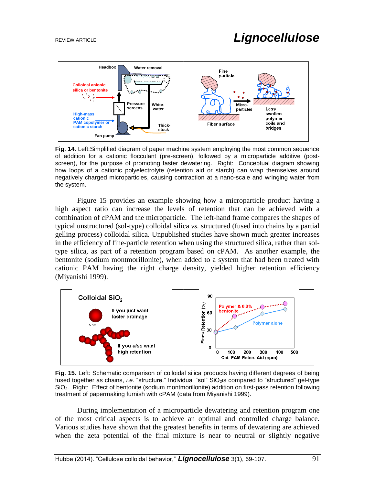

**Fig. 14.** Left:Simplified diagram of paper machine system employing the most common sequence of addition for a cationic flocculant (pre-screen), followed by a microparticle additive (postscreen), for the purpose of promoting faster dewatering. Right: Conceptual diagram showing how loops of a cationic polyelectrolyte (retention aid or starch) can wrap themselves around negatively charged microparticles, causing contraction at a nano-scale and wringing water from the system.

Figure 15 provides an example showing how a microparticle product having a high aspect ratio can increase the levels of retention that can be achieved with a combination of cPAM and the microparticle. The left-hand frame compares the shapes of typical unstructured (sol-type) colloidal silica *vs.* structured (fused into chains by a partial gelling process) colloidal silica. Unpublished studies have shown much greater increases in the efficiency of fine-particle retention when using the structured silica, rather than soltype silica, as part of a retention program based on cPAM. As another example, the bentonite (sodium montmorillonite), when added to a system that had been treated with cationic PAM having the right charge density, yielded higher retention efficiency (Miyanishi 1999).



**Fig. 15.** Left: Schematic comparison of colloidal silica products having different degrees of being fused together as chains, *i.e.* "structure." Individual "sol" SiO<sub>2</sub> is compared to "structured" gel-type SiO2. Right: Effect of bentonite (sodium montmorillonite) addition on first-pass retention following treatment of papermaking furnish with cPAM (data from Miyanishi 1999).

During implementation of a microparticle dewatering and retention program one of the most critical aspects is to achieve an optimal and controlled charge balance. Various studies have shown that the greatest benefits in terms of dewatering are achieved when the zeta potential of the final mixture is near to neutral or slightly negative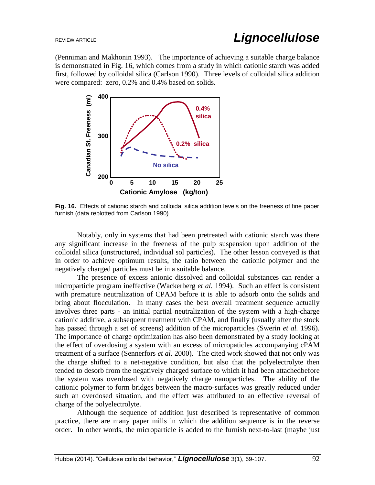(Penniman and Makhonin 1993). The importance of achieving a suitable charge balance is demonstrated in Fig. 16, which comes from a study in which cationic starch was added first, followed by colloidal silica (Carlson 1990). Three levels of colloidal silica addition were compared: zero, 0.2% and 0.4% based on solids.



**Fig. 16.** Effects of cationic starch and colloidal silica addition levels on the freeness of fine paper furnish (data replotted from Carlson 1990)

Notably, only in systems that had been pretreated with cationic starch was there any significant increase in the freeness of the pulp suspension upon addition of the colloidal silica (unstructured, individual sol particles). The other lesson conveyed is that in order to achieve optimum results, the ratio between the cationic polymer and the negatively charged particles must be in a suitable balance.

The presence of excess anionic dissolved and colloidal substances can render a microparticle program ineffective (Wackerberg *et al.* 1994). Such an effect is consistent with premature neutralization of CPAM before it is able to adsorb onto the solids and bring about flocculation. In many cases the best overall treatment sequence actually involves three parts - an initial partial neutralization of the system with a high-charge cationic additive, a subsequent treatment with CPAM, and finally (usually after the stock has passed through a set of screens) addition of the microparticles (Swerin *et al.* 1996). The importance of charge optimization has also been demonstrated by a study looking at the effect of overdosing a system with an excess of micropaticles accompanying cPAM treatment of a surface (Sennerfors *et al.* 2000). The cited work showed that not only was the charge shifted to a net-negative condition, but also that the polyelectrolyte then tended to desorb from the negatively charged surface to which it had been attachedbefore the system was overdosed with negatively charge nanoparticles. The ability of the cationic polymer to form bridges between the macro-surfaces was greatly reduced under such an overdosed situation, and the effect was attributed to an effective reversal of charge of the polyelectrolyte.

Although the sequence of addition just described is representative of common practice, there are many paper mills in which the addition sequence is in the reverse order. In other words, the microparticle is added to the furnish next-to-last (maybe just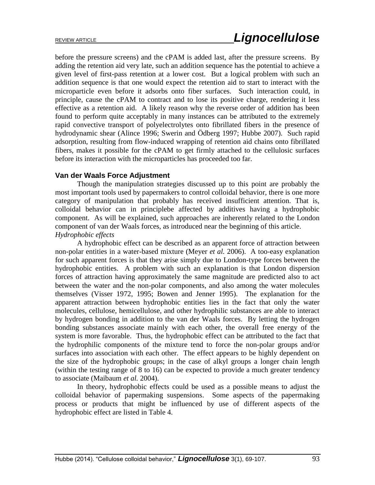before the pressure screens) and the cPAM is added last, after the pressure screens. By adding the retention aid very late, such an addition sequence has the potential to achieve a given level of first-pass retention at a lower cost. But a logical problem with such an addition sequence is that one would expect the retention aid to start to interact with the microparticle even before it adsorbs onto fiber surfaces. Such interaction could, in principle, cause the cPAM to contract and to lose its positive charge, rendering it less effective as a retention aid. A likely reason why the reverse order of addition has been found to perform quite acceptably in many instances can be attributed to the extremely rapid convective transport of polyelectrolytes onto fibrillated fibers in the presence of hydrodynamic shear (Alince 1996; Swerin and Ödberg 1997; Hubbe 2007). Such rapid adsorption, resulting from flow-induced wrapping of retention aid chains onto fibrillated fibers, makes it possible for the cPAM to get firmly attached to the cellulosic surfaces before its interaction with the microparticles has proceeded too far.

# **Van der Waals Force Adjustment**

Though the manipulation strategies discussed up to this point are probably the most important tools used by papermakers to control colloidal behavior, there is one more category of manipulation that probably has received insufficient attention. That is, colloidal behavior can in principlebe affected by additives having a hydrophobic component. As will be explained, such approaches are inherently related to the London component of van der Waals forces, as introduced near the beginning of this article. *Hydrophobic effects*

A hydrophobic effect can be described as an apparent force of attraction between non-polar entities in a water-based mixture (Meyer *et al.* 2006). A too-easy explanation for such apparent forces is that they arise simply due to London-type forces between the hydrophobic entities. A problem with such an explanation is that London dispersion forces of attraction having approximately the same magnitude are predicted also to act between the water and the non-polar components, and also among the water molecules themselves (Visser 1972, 1995; Bowen and Jenner 1995). The explanation for the apparent attraction between hydrophobic entities lies in the fact that only the water molecules, cellulose, hemicellulose, and other hydrophilic substances are able to interact by hydrogen bonding in addition to the van der Waals forces. By letting the hydrogen bonding substances associate mainly with each other, the overall free energy of the system is more favorable. Thus, the hydrophobic effect can be attributed to the fact that the hydrophilic components of the mixture tend to force the non-polar groups and/or surfaces into association with each other. The effect appears to be highly dependent on the size of the hydrophobic groups; in the case of alkyl groups a longer chain length (within the testing range of 8 to 16) can be expected to provide a much greater tendency to associate (Maibaum *et al.* 2004).

In theory, hydrophobic effects could be used as a possible means to adjust the colloidal behavior of papermaking suspensions. Some aspects of the papermaking process or products that might be influenced by use of different aspects of the hydrophobic effect are listed in Table 4.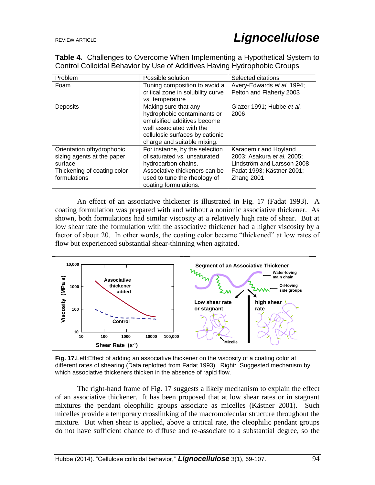**Table 4.** Challenges to Overcome When Implementing a Hypothetical System to Control Colloidal Behavior by Use of Additives Having Hydrophobic Groups

| Problem                     | Possible solution                 | Selected citations         |
|-----------------------------|-----------------------------------|----------------------------|
| Foam                        | Tuning composition to avoid a     | Avery-Edwards et al. 1994; |
|                             | critical zone in solubility curve | Pelton and Flaherty 2003   |
|                             | vs. temperature                   |                            |
| Deposits                    | Making sure that any              | Glazer 1991; Hubbe et al.  |
|                             | hydrophobic contaminants or       | 2006                       |
|                             | emulsified additives become       |                            |
|                             | well associated with the          |                            |
|                             | cellulosic surfaces by cationic   |                            |
|                             | charge and suitable mixing.       |                            |
| Orientation ofhydrophobic   | For instance, by the selection    | Karademir and Hoyland      |
| sizing agents at the paper  | of saturated vs. unsaturated      | 2003; Asakura et al. 2005; |
| surface                     | hydrocarbon chains.               | Lindström and Larsson 2008 |
| Thickening of coating color | Associative thickeners can be     | Fadat 1993; Kästner 2001;  |
| formulations                | used to tune the rheology of      | Zhang 2001                 |
|                             | coating formulations.             |                            |

An effect of an associative thickener is illustrated in Fig. 17 (Fadat 1993). A coating formulation was prepared with and without a nonionic associative thickener. As shown, both formulations had similar viscosity at a relatively high rate of shear. But at low shear rate the formulation with the associative thickener had a higher viscosity by a factor of about 20. In other words, the coating color became "thickened" at low rates of flow but experienced substantial shear-thinning when agitated.



**Fig. 17.**Left:Effect of adding an associative thickener on the viscosity of a coating color at different rates of shearing (Data replotted from Fadat 1993). Right: Suggested mechanism by which associative thickeners thicken in the absence of rapid flow.

The right-hand frame of Fig. 17 suggests a likely mechanism to explain the effect of an associative thickener. It has been proposed that at low shear rates or in stagnant mixtures the pendant oleophilic groups associate as micelles (Kästner 2001). Such micelles provide a temporary crosslinking of the macromolecular structure throughout the mixture. But when shear is applied, above a critical rate, the oleophilic pendant groups do not have sufficient chance to diffuse and re-associate to a substantial degree, so the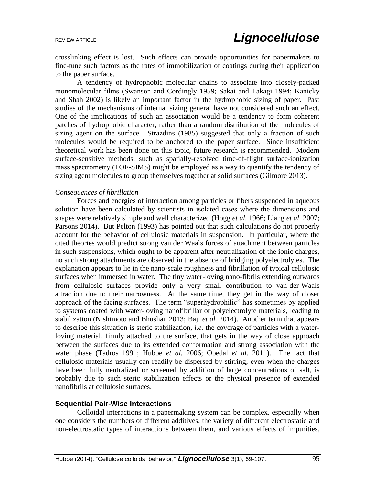crosslinking effect is lost. Such effects can provide opportunities for papermakers to fine-tune such factors as the rates of immobilization of coatings during their application to the paper surface.

A tendency of hydrophobic molecular chains to associate into closely-packed monomolecular films (Swanson and Cordingly 1959; Sakai and Takagi 1994; Kanicky and Shah 2002) is likely an important factor in the hydrophobic sizing of paper. Past studies of the mechanisms of internal sizing general have not considered such an effect. One of the implications of such an association would be a tendency to form coherent patches of hydrophobic character, rather than a random distribution of the molecules of sizing agent on the surface. Strazdins (1985) suggested that only a fraction of such molecules would be required to be anchored to the paper surface. Since insufficient theoretical work has been done on this topic, future research is recommended. Modern surface-sensitive methods, such as spatially-resolved time-of-flight surface-ionization mass spectrometry (TOF-SIMS) might be employed as a way to quantify the tendency of sizing agent molecules to group themselves together at solid surfaces (Gilmore 2013).

#### *Consequences of fibrillation*

Forces and energies of interaction among particles or fibers suspended in aqueous solution have been calculated by scientists in isolated cases where the dimensions and shapes were relatively simple and well characterized (Hogg *et al.* 1966; Liang *et al.* 2007; Parsons 2014). But Pelton (1993) has pointed out that such calculations do not properly account for the behavior of cellulosic materials in suspension. In particular, where the cited theories would predict strong van der Waals forces of attachment between particles in such suspensions, which ought to be apparent after neutralization of the ionic charges, no such strong attachments are observed in the absence of bridging polyelectrolytes. The explanation appears to lie in the nano-scale roughness and fibrillation of typical cellulosic surfaces when immersed in water. The tiny water-loving nano-fibrils extending outwards from cellulosic surfaces provide only a very small contribution to van-der-Waals attraction due to their narrowness. At the same time, they get in the way of closer approach of the facing surfaces. The term "superhydrophilic" has sometimes by applied to systems coated with water-loving nanofibrillar or polyelectrolyte materials, leading to stabilization (Nishimoto and Bhushan 2013; Baji *et al.* 2014). Another term that appears to describe this situation is steric stabilization, *i.e.* the coverage of particles with a waterloving material, firmly attached to the surface, that gets in the way of close approach between the surfaces due to its extended conformation and strong association with the water phase (Tadros 1991; Hubbe *et al.* 2006; Opedal *et al.* 2011). The fact that cellulosic materials usually can readily be dispersed by stirring, even when the charges have been fully neutralized or screened by addition of large concentrations of salt, is probably due to such steric stabilization effects or the physical presence of extended nanofibrils at cellulosic surfaces.

#### **Sequential Pair-Wise Interactions**

Colloidal interactions in a papermaking system can be complex, especially when one considers the numbers of different additives, the variety of different electrostatic and non-electrostatic types of interactions between them, and various effects of impurities,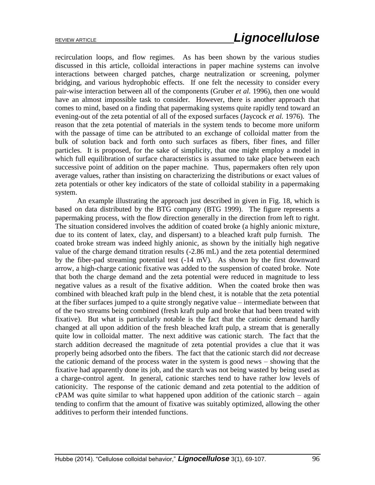recirculation loops, and flow regimes. As has been shown by the various studies discussed in this article, colloidal interactions in paper machine systems can involve interactions between charged patches, charge neutralization or screening, polymer bridging, and various hydrophobic effects. If one felt the necessity to consider every pair-wise interaction between all of the components (Gruber *et al.* 1996), then one would have an almost impossible task to consider. However, there is another approach that comes to mind, based on a finding that papermaking systems quite rapidly tend toward an evening-out of the zeta potential of all of the exposed surfaces (Jaycock *et al.* 1976). The reason that the zeta potential of materials in the system tends to become more uniform with the passage of time can be attributed to an exchange of colloidal matter from the bulk of solution back and forth onto such surfaces as fibers, fiber fines, and filler particles. It is proposed, for the sake of simplicity, that one might employ a model in which full equilibration of surface characteristics is assumed to take place between each successive point of addition on the paper machine. Thus, papermakers often rely upon average values, rather than insisting on characterizing the distributions or exact values of zeta potentials or other key indicators of the state of colloidal stability in a papermaking system.

An example illustrating the approach just described in given in Fig. 18, which is based on data distributed by the BTG company (BTG 1999). The figure represents a papermaking process, with the flow direction generally in the direction from left to right. The situation considered involves the addition of coated broke (a highly anionic mixture, due to its content of latex, clay, and dispersant) to a bleached kraft pulp furnish. The coated broke stream was indeed highly anionic, as shown by the initially high negative value of the charge demand titration results (-2.86 mL) and the zeta potential determined by the fiber-pad streaming potential test (-14 mV). As shown by the first downward arrow, a high-charge cationic fixative was added to the suspension of coated broke. Note that both the charge demand and the zeta potential were reduced in magnitude to less negative values as a result of the fixative addition. When the coated broke then was combined with bleached kraft pulp in the blend chest, it is notable that the zeta potential at the fiber surfaces jumped to a quite strongly negative value – intermediate between that of the two streams being combined (fresh kraft pulp and broke that had been treated with fixative). But what is particularly notable is the fact that the cationic demand hardly changed at all upon addition of the fresh bleached kraft pulp, a stream that is generally quite low in colloidal matter. The next additive was cationic starch. The fact that the starch addition decreased the magnitude of zeta potential provides a clue that it was properly being adsorbed onto the fibers. The fact that the cationic starch did *not* decrease the cationic demand of the process water in the system is good news – showing that the fixative had apparently done its job, and the starch was not being wasted by being used as a charge-control agent. In general, cationic starches tend to have rather low levels of cationicity. The response of the cationic demand and zeta potential to the addition of cPAM was quite similar to what happened upon addition of the cationic starch – again tending to confirm that the amount of fixative was suitably optimized, allowing the other additives to perform their intended functions.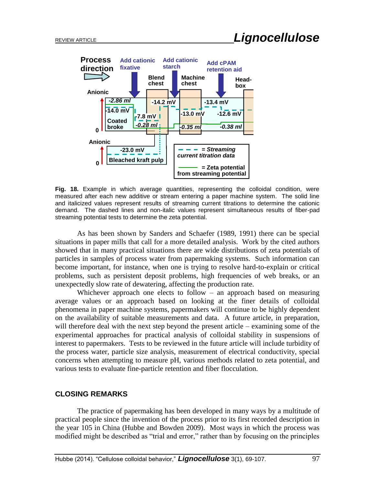

**Fig. 18.** Example in which average quantities, representing the colloidal condition, were measured after each new additive or stream entering a paper machine system. The solid line and italicized values represent results of streaming current titrations to determine the cationic demand. The dashed lines and non-italic values represent simultaneous results of fiber-pad streaming potential tests to determine the zeta potential.

As has been shown by Sanders and Schaefer (1989, 1991) there can be special situations in paper mills that call for a more detailed analysis. Work by the cited authors showed that in many practical situations there are wide distributions of zeta potentials of particles in samples of process water from papermaking systems. Such information can become important, for instance, when one is trying to resolve hard-to-explain or critical problems, such as persistent deposit problems, high frequencies of web breaks, or an unexpectedly slow rate of dewatering, affecting the production rate.

Whichever approach one elects to follow – an approach based on measuring average values or an approach based on looking at the finer details of colloidal phenomena in paper machine systems, papermakers will continue to be highly dependent on the availability of suitable measurements and data. A future article, in preparation, will therefore deal with the next step beyond the present article – examining some of the experimental approaches for practical analysis of colloidal stability in suspensions of interest to papermakers. Tests to be reviewed in the future article will include turbidity of the process water, particle size analysis, measurement of electrical conductivity, special concerns when attempting to measure pH, various methods related to zeta potential, and various tests to evaluate fine-particle retention and fiber flocculation.

# **CLOSING REMARKS**

The practice of papermaking has been developed in many ways by a multitude of practical people since the invention of the process prior to its first recorded description in the year 105 in China (Hubbe and Bowden 2009). Most ways in which the process was modified might be described as "trial and error," rather than by focusing on the principles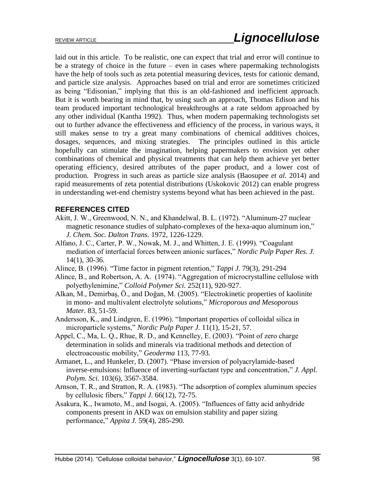laid out in this article. To be realistic, one can expect that trial and error will continue to be a strategy of choice in the future – even in cases where papermaking technologists have the help of tools such as zeta potential measuring devices, tests for cationic demand, and particle size analysis. Approaches based on trial and error are sometimes criticized as being "Edisonian," implying that this is an old-fashioned and inefficient approach. But it is worth bearing in mind that, by using such an approach, Thomas Edison and his team produced important technological breakthroughs at a rate seldom approached by any other individual (Kantha 1992). Thus, when modern papermaking technologists set out to further advance the effectiveness and efficiency of the process, in various ways, it still makes sense to try a great many combinations of chemical additives choices, dosages, sequences, and mixing strategies. The principles outlined in this article hopefully can stimulate the imagination, helping papermakers to envision yet other combinations of chemical and physical treatments that can help them achieve yet better operating efficiency, desired attributes of the paper product, and a lower cost of production. Progress in such areas as particle size analysis (Baosupee *et al.* 2014) and rapid measurements of zeta potential distributions (Uskokovic 2012) can enable progress in understanding wet-end chemistry systems beyond what has been achieved in the past.

# **REFERENCES CITED**

- Akitt, J. W., Greenwood, N. N., and Khandelwal, B. L. (1972). "Aluminum-27 nuclear magnetic resonance studies of sulphato-complexes of the hexa-aquo aluminum ion," *J. Chem. Soc. Dalton Trans.* 1972, 1226-1229.
- Alfano, J. C., Carter, P. W., Nowak, M. J., and Whitten, J. E. (1999). "Coagulant mediation of interfacial forces between anionic surfaces," *Nordic Pulp Paper Res. J.* 14(1), 30-36.
- Alince, B. (1996). "Time factor in pigment retention," *Tappi J.* 79(3), 291-294
- Alince, B., and Robertson, A. A. (1974). "Aggregation of microcrystalline cellulose with polyethylenimine," *Colloid Polymer Sci.* 252(11), 920-927.
- Alkan, M., Demirbaş, Ö., and Doğan, M. (2005). "Electrokinetic properties of kaolinite in mono- and multivalent electrolyte solutions," *Microporous and Mesoporous Mater.* 83, 51-59.
- Andersson, K., and Lindgren, E. (1996). "Important properties of colloidal silica in microparticle systems," *Nordic Pulp Paper J.* 11(1), 15-21, 57.
- Appel, C., Ma, L. Q., Rhue, R. D., and Kennelley, E. (2003). "Point of zero charge determination in solids and minerals via traditional methods and detection of electroacoustic mobility," *Geoderma* 113, 77-93.
- Armanet, L., and Hunkeler, D. (2007). "Phase inversion of polyacrylamide-based inverse-emulsions: Influence of inverting-surfactant type and concentration," *J. Appl. Polym. Sci.* 103(6), 3567-3584.
- Arnson, T. R., and Stratton, R. A. (1983). "The adsorption of complex aluminum species by cellulosic fibers," *Tappi J.* 66(12), 72-75.
- Asakura, K., Iwamoto, M., and Isogai, A. (2005). "Influences of fatty acid anhydride components present in AKD wax on emulsion stability and paper sizing performance," *Appita J.* 59(4), 285-290.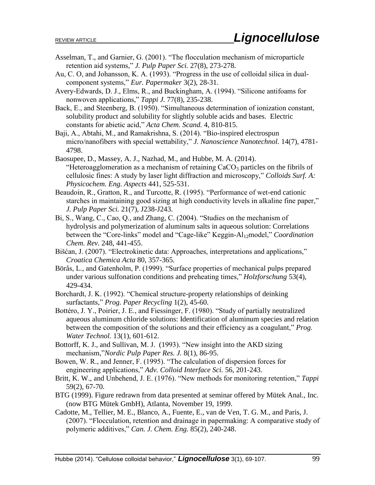- Asselman, T., and Garnier, G. (2001). "The flocculation mechanism of microparticle retention aid systems," *J. Pulp Paper Sci.* 27(8), 273-278.
- Au, C. O, and Johansson, K. A. (1993). "Progress in the use of colloidal silica in dualcomponent systems," *Eur. Papermaker* 3(2), 28-31.
- Avery-Edwards, D. J., Elms, R., and Buckingham, A. (1994). "Silicone antifoams for nonwoven applications," *Tappi J.* 77(8), 235-238.
- Back, E., and Steenberg, B. (1950). "Simultaneous determination of ionization constant, solubility product and solubility for slightly soluble acids and bases. Electric constants for abietic acid," *Acta Chem. Scand.* 4, 810-815.
- Baji, A., Abtahi, M., and Ramakrishna, S. (2014). "Bio-inspired electrospun micro/nanofibers with special wettability," *J. Nanoscience Nanotechnol.* 14(7), 4781- 4798.
- Baosupee, D., Massey, A. J., Nazhad, M., and Hubbe, M. A. (2014). "Heteroagglomeration as a mechanism of retaining  $CaCO<sub>3</sub>$  particles on the fibrils of cellulosic fines: A study by laser light diffraction and microscopy," *Colloids Surf. A: Physicochem. Eng. Aspects* 441, 525-531.
- Beaudoin, R., Gratton, R., and Turcotte, R. (1995). "Performance of wet-end cationic starches in maintaining good sizing at high conductivity levels in alkaline fine paper," *J. Pulp Paper Sci.* 21(7), J238-J243.
- Bi, S., Wang, C., Cao, Q., and Zhang, C. (2004). "Studies on the mechanism of hydrolysis and polymerization of aluminum salts in aqueous solution: Correlations between the "Core-links" model and "Cage-like" Keggin-Al<sub>12</sub>model," *Coordination Chem. Rev.* 248, 441-455.
- Bišćan, J. (2007). "Electrokinetic data: Approaches, interpretations and applications," *Croatica Chemica Acta* 80, 357-365.
- Börås, L., and Gatenholm, P. (1999). "Surface properties of mechanical pulps prepared under various sulfonation conditions and preheating times," *Holzforschung* 53(4), 429-434.
- Borchardt, J. K. (1992). "Chemical structure-property relationships of deinking surfactants," *Prog. Paper Recycling* 1(2), 45-60.
- Bottéro, J. Y., Poirier, J. E., and Fiessinger, F. (1980). "Study of partially neutralized aqueous aluminum chloride solutions: Identification of aluminum species and relation between the composition of the solutions and their efficiency as a coagulant," *Prog. Water Technol.* 13(1), 601-612.
- Bottorff, K. J., and Sullivan, M. J. (1993). "New insight into the AKD sizing mechanism,"*Nordic Pulp Paper Res. J.* 8(1), 86-95.
- Bowen, W. R., and Jenner, F. (1995). "The calculation of dispersion forces for engineering applications," *Adv. Colloid Interface Sci.* 56, 201-243.
- Britt, K. W., and Unbehend, J. E. (1976). "New methods for monitoring retention," *Tappi* 59(2), 67-70.
- BTG (1999). Figure redrawn from data presented at seminar offered by Mütek Anal., Inc. (now BTG Mütek GmbH), Atlanta, November 19, 1999.
- Cadotte, M., Tellier, M. E., Blanco, A., Fuente, E., van de Ven, T. G. M., and Paris, J. (2007). "Flocculation, retention and drainage in papermaking: A comparative study of polymeric additives," *Can. J. Chem. Eng.* 85(2), 240-248.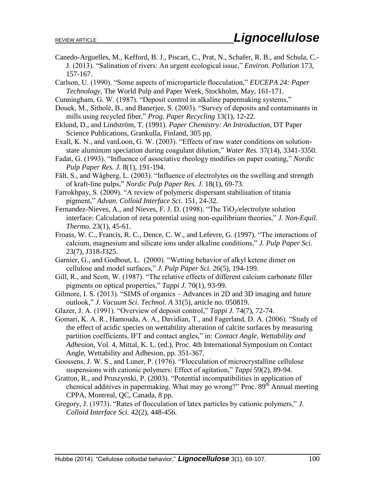- Canedo-Arguelles, M., Kefford, B. J., Piscart, C., Prat, N., Schafer, R. B., and Schula, C.- J. (2013). "Salination of rivers: An urgent ecological issue," *Environ. Pollution* 173, 157-167.
- Carlson, U. (1990). "Some aspects of microparticle flocculation," *EUCEPA 24: Paper Technology*, The World Pulp and Paper Week, Stockholm, May, 161-171.
- Cunningham, G. W. (1987). "Deposit control in alkaline papermaking systems,"
- Douek, M., Sitholé, B., and Banerjee, S. (2003). "Survey of deposits and contaminants in mills using recycled fiber," *Prog. Paper Recycling* 13(1), 12-22.
- Eklund, D., and Lindström, T. (1991). *Paper Chemistry: An Introduction*, DT Paper Science Publications, Grankulla, Finland, 305 pp.
- Exall, K. N., and vanLoon, G. W. (2003). "Effects of raw water conditions on solutionstate aluminum speciation during coagulant dilution," *Water Res.* 37(14), 3341-3350.
- Fadat, G. (1993). "Influence of associative rheology modifies on paper coating," *Nordic Pulp Paper Res. J.* 8(1), 191-194.
- Fält, S., and Wågberg, L. (2003). "Influence of electrolytes on the swelling and strength of kraft-line pulps," *Nordic Pulp Paper Res. J.* 18(1), 69-73.
- Farrokhpay, S. (2009). "A review of polymeric dispersant stabilisation of titania pigment," *Advan. Colloid Interface Sci.* 151, 24-32.
- Fernandez-Nieves, A., and Nieves, F. J. D. (1998). "The  $TiO<sub>2</sub>/electrolyte solution$ interface: Calculation of zeta potential using non-equilibrium theories," *J. Non-Equil. Thermo.* 23(1), 45-61.
- Froass, W. C., Francis, R. C., Dence, C. W., and Lefevre, G. (1997). "The interactions of calcium, magnesium and silicate ions under alkaline conditions," *J. Pulp Paper Sci.* 23(7), J318-J325.
- Garnier, G., and Godbout, L. (2000). "Wetting behavior of alkyl ketene dimer on cellulose and model surfaces," *J. Pulp Paper Sci.* 26(5), 194-199.
- Gill, R., and Scott, W. (1987). "The relative effects of different calcium carbonate filler pigments on optical properties," *Tappi J.* 70(1), 93-99.
- Gilmore, I. S. (2013). "SIMS of organics Advances in 2D and 3D imaging and future outlook," *J. Vacuum Sci. Technol. A* 31(5), article no. 050819.

Glazer, J. A. (1991). "Overview of deposit control," *Tappi J.* 74(7), 72-74.

- Gomari, K. A. R., Hamouda, A. A., Davidian, T., and Fagerland, D. A. (2006). "Study of the effect of acidic species on wettability alteration of calcite surfaces by measuring partition coefficients, IFT and contact angles," in: *Contact Angle, Wettability and Adhesion*, Vol. 4, Mittal, K. L. (ed.), Proc. 4th International Symposium on Contact Angle, Wettability and Adhesion, pp. 351-367.
- Goossens, J. W. S., and Luner, P. (1976). "Flocculation of microcrystalline cellulose suspensions with cationic polymers: Effect of agitation," *Tappi* 59(2), 89-94.
- Gratton, R., and Pruszynski, P. (2003). "Potential incompatibilities in application of chemical additives in papermaking. What may go wrong?" Proc.  $89<sup>th</sup>$  Annual meeting CPPA, Montreal, QC, Canada, 8 pp.
- Gregory, J. (1973). "Rates of flocculation of latex particles by cationic polymers," *J. Colloid Interface Sci.* 42(2), 448-456.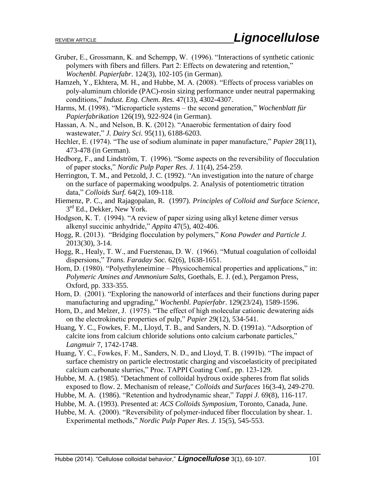- Gruber, E., Grossmann, K. and Schempp, W. (1996). "Interactions of synthetic cationic polymers with fibers and fillers. Part 2: Effects on dewatering and retention," *Wochenbl. Papierfabr*. 124(3), 102-105 (in German).
- Hamzeh, Y., Ekhtera, M. H., and Hubbe, M. A. (2008). "Effects of process variables on poly-aluminum chloride (PAC)-rosin sizing performance under neutral papermaking conditions," *Indust. Eng. Chem. Res.* 47(13), 4302-4307.
- Harms, M. (1998). "Microparticle systems the second generation," *Wochenblatt für Papierfabrikation* 126(19), 922-924 (in German).
- Hassan, A. N., and Nelson, B. K. (2012). "Anaerobic fermentation of dairy food wastewater," *J. Dairy Sci.* 95(11), 6188-6203.
- Hechler, E. (1974). "The use of sodium aluminate in paper manufacture," *Papier* 28(11), 473-478 (in German).
- Hedborg, F., and Lindström, T. (1996). "Some aspects on the reversibility of flocculation of paper stocks," *Nordic Pulp Paper Res. J*. 11(4), 254-259.
- Herrington, T. M., and Petzold, J. C. (1992). "An investigation into the nature of charge on the surface of papermaking woodpulps. 2. Analysis of potentiometric titration data," *Colloids Surf.* 64(2), 109-118.
- Hiemenz, P. C., and Rajagopalan, R. (1997). *Principles of Colloid and Surface Science*, 3<sup>rd</sup> Ed., Dekker, New York.
- Hodgson, K. T. (1994). "A review of paper sizing using alkyl ketene dimer versus alkenyl succinic anhydride," *Appita* 47(5), 402-406.
- Hogg, R. (2013). "Bridging flocculation by polymers," *Kona Powder and Particle J.* 2013(30), 3-14.
- Hogg, R., Healy, T. W., and Fuerstenau, D. W. (1966). "Mutual coagulation of colloidal dispersions," *Trans. Faraday Soc.* 62(6), 1638-1651.
- Horn, D. (1980). "Polyethyleneimine Physicochemical properties and applications," in: *Polymeric Amines and Ammonium Salts*, Goethals, E. J. (ed.), Pergamon Press, Oxford, pp. 333-355.
- Horn, D. (2001). "Exploring the nanoworld of interfaces and their functions during paper manufacturing and upgrading," *Wochenbl. Papierfabr*. 129(23/24), 1589-1596.
- Horn, D., and Melzer, J. (1975). "The effect of high molecular cationic dewatering aids on the electrokinetic properties of pulp," *Papier* 29(12), 534-541.
- Huang, Y. C., Fowkes, F. M., Lloyd, T. B., and Sanders, N. D. (1991a). "Adsorption of calcite ions from calcium chloride solutions onto calcium carbonate particles," *Langmuir* 7, 1742-1748.
- Huang, Y. C., Fowkes, F. M., Sanders, N. D., and Lloyd, T. B. (1991b). "The impact of surface chemistry on particle electrostatic charging and viscoelasticity of precipitated calcium carbonate slurries," Proc. TAPPI Coating Conf., pp. 123-129.
- Hubbe, M. A. (1985). "Detachment of colloidal hydrous oxide spheres from flat solids exposed to flow. 2. Mechanism of release," *Colloids and Surfaces* 16(3-4), 249-270.
- Hubbe, M. A. (1986). "Retention and hydrodynamic shear," *Tappi J.* 69(8), 116-117.
- Hubbe, M. A. (1993). Presented at: *ACS Colloids Symposium*, Toronto, Canada, June.
- Hubbe, M. A. (2000). "Reversibility of polymer-induced fiber flocculation by shear. 1. Experimental methods," *Nordic Pulp Paper Res. J.* 15(5), 545-553.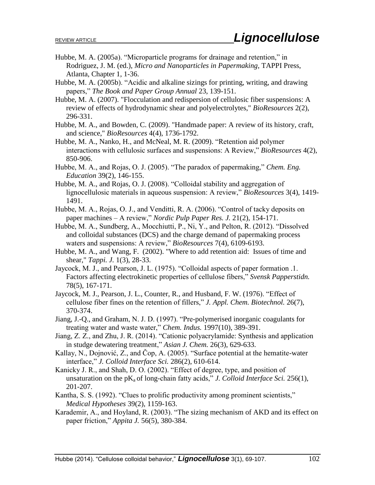- Hubbe, M. A. (2005a). "Microparticle programs for drainage and retention," in Rodriguez, J. M. (ed.), *Micro and Nanoparticles in Papermaking*, TAPPI Press, Atlanta, Chapter 1, 1-36.
- Hubbe, M. A. (2005b). "Acidic and alkaline sizings for printing, writing, and drawing papers," *The Book and Paper Group Annual* 23, 139-151.
- Hubbe, M. A. (2007). "Flocculation and redispersion of cellulosic fiber suspensions: A review of effects of hydrodynamic shear and polyelectrolytes," *BioResources* 2(2), 296-331.
- Hubbe, M. A., and Bowden, C. (2009). "Handmade paper: A review of its history, craft, and science," *BioResources* 4(4), 1736-1792.
- Hubbe, M. A., Nanko, H., and McNeal, M. R. (2009). "Retention aid polymer interactions with cellulosic surfaces and suspensions: A Review," *BioResources* 4(2), 850-906.
- Hubbe, M. A., and Rojas, O. J. (2005). "The paradox of papermaking," *Chem. Eng. Education* 39(2), 146-155.
- Hubbe, M. A., and Rojas, O. J. (2008). "Colloidal stability and aggregation of lignocellulosic materials in aqueous suspension: A review," *BioResources* 3(4), 1419- 1491.
- Hubbe, M. A., Rojas, O. J., and Venditti, R. A. (2006). "Control of tacky deposits on paper machines – A review," *Nordic Pulp Paper Res. J.* 21(2), 154-171.
- Hubbe, M. A., Sundberg, A., Mocchiutti, P., Ni, Y., and Pelton, R. (2012). "Dissolved and colloidal substances (DCS) and the charge demand of papermaking process waters and suspensions: A review," *BioResources* 7(4), 6109-6193.
- Hubbe, M. A., and Wang, F. (2002). "Where to add retention aid: Issues of time and shear," *Tappi. J.* 1(3), 28-33.
- Jaycock, M. J., and Pearson, J. L. (1975). "Colloidal aspects of paper formation .1. Factors affecting electrokinetic properties of cellulose fibers," *Svensk Papperstidn.* 78(5), 167-171.
- Jaycock, M. J., Pearson, J. L., Counter, R., and Husband, F. W. (1976). "Effect of cellulose fiber fines on the retention of fillers," *J. Appl. Chem. Biotechnol.* 26(7), 370-374.
- Jiang, J.-Q., and Graham, N. J. D. (1997). "Pre-polymerised inorganic coagulants for treating water and waste water," *Chem. Indus.* 1997(10), 389-391.
- Jiang, Z. Z., and Zhu, J. R. (2014). "Cationic polyacrylamide: Synthesis and application in studge dewatering treatment," *Asian J. Chem.* 26(3), 629-633.
- Kallay, N., Dojnović, Z., and Čop, A. (2005). "Surface potential at the hematite-water interface," *J. Colloid Interface Sci.* 286(2), 610-614.
- Kanicky J. R., and Shah, D. O. (2002). "Effect of degree, type, and position of unsaturation on the  $pK_a$  of long-chain fatty acids," *J. Colloid Interface Sci.* 256(1), 201-207.
- Kantha, S. S. (1992). "Clues to prolific productivity among prominent scientists," *Medical Hypotheses* 39(2), 1159-163.
- Karademir, A., and Hoyland, R. (2003). "The sizing mechanism of AKD and its effect on paper friction," *Appita J.* 56(5), 380-384.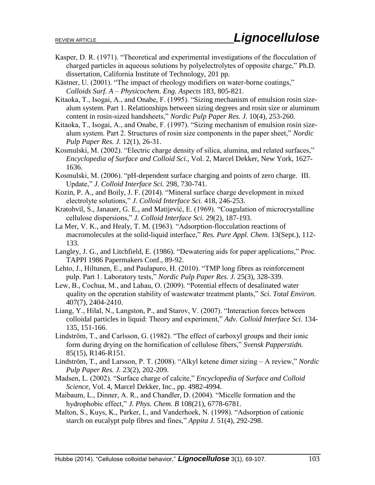- Kasper, D. R. (1971). "Theoretical and experimental investigations of the flocculation of charged particles in aqueous solutions by polyelectrolytes of opposite charge," Ph.D. dissertation, California Institute of Technology, 201 pp.
- Kästner, U. (2001). "The impact of rheology modifiers on water-borne coatings," *Colloids Surf. A – Physicochem. Eng. Aspects* 183, 805-821.
- Kitaoka, T., Isogai, A., and Onabe, F. (1995). "Sizing mechanism of emulsion rosin sizealum system. Part 1. Relationships between sizing degrees and rosin size or aluminum content in rosin-sized handsheets," *Nordic Pulp Paper Res. J.* 10(4), 253-260.
- Kitaoka, T., Isogai, A., and Onabe, F. (1997). "Sizing mechanism of emulsion rosin sizealum system. Part 2. Structures of rosin size components in the paper sheet," *Nordic Pulp Paper Res. J.* 12(1), 26-31.
- Kosmulski, M. (2002). "Electric charge density of silica, alumina, and related surfaces," *Encyclopedia of Surface and Colloid Sci.*, Vol. 2, Marcel Dekker, New York, 1627- 1636.
- Kosmulski, M. (2006). "pH-dependent surface charging and points of zero charge. III. Update," *J. Colloid Interface Sci.* 298, 730-741.
- Kozin, P. A., and Boily, J. F. (2014). "Mineral surface charge development in mixed electrolyte solutions," *J. Colloid Interface Sci.* 418, 246-253.
- Kratohvil, S., Janauer, G. E., and Matijević, E. (1969). "Coagulation of microcrystalline cellulose dispersions," *J. Colloid Interface Sci.* 29(2), 187-193.
- La Mer, V. K., and Healy, T. M. (1963). "Adsorption-flocculation reactions of macromolecules at the solid-liquid interface," *Res. Pure Appl. Chem.* 13(Sept.), 112- 133.
- Langley, J. G., and Litchfield, E. (1986). "Dewatering aids for paper applications," Proc. TAPPI 1986 Papermakers Conf., 89-92.
- Lehto, J., Hiltunen, E., and Paulapuro, H. (2010). "TMP long fibres as reinforcement pulp. Part 1. Laboratory tests," *Nordic Pulp Paper Res. J.* 25(3), 328-339.
- Lew, B., Cochua, M., and Lahau, O. (2009). "Potential effects of desalinated water quality on the operation stability of wastewater treatment plants," *Sci. Total Environ.* 407(7), 2404-2410.
- Liang, Y., Hilal, N., Langston, P., and Starov, V. (2007). "Interaction forces between colloidal particles in liquid: Theory and experiment," *Adv. Colloid Interface Sci.* 134- 135, 151-166.
- Lindström, T., and Carlsson, G. (1982). "The effect of carboxyl groups and their ionic form during drying on the hornification of cellulose fibers," *Svensk Papperstidn.*  85(15), R146-R151.
- Lindström, T., and Larsson, P. T. (2008). "Alkyl ketene dimer sizing A review," *Nordic Pulp Paper Res. J.* 23(2), 202-209.
- Madsen, L. (2002). "Surface charge of calcite," *Encyclopedia of Surface and Colloid Science*, Vol. 4, Marcel Dekker, Inc., pp. 4982-4994.
- Maibaum, L., Dinner, A. R., and Chandler, D. (2004). "Micelle formation and the hydrophobic effect," *J. Phys. Chem. B* 108(21), 6778-6781.
- Malton, S., Kuys, K., Parker, I., and Vanderhoek, N. (1998). "Adsorption of cationic starch on eucalypt pulp fibres and fines," *Appita J.* 51(4), 292-298.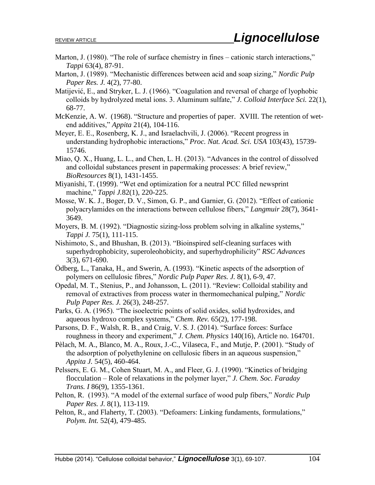- Marton, J. (1980). "The role of surface chemistry in fines cationic starch interactions," *Tappi* 63(4), 87-91.
- Marton, J. (1989). "Mechanistic differences between acid and soap sizing," *Nordic Pulp Paper Res. J.* 4(2), 77-80.
- Matijević, E., and Stryker, L. J. (1966). "Coagulation and reversal of charge of lyophobic colloids by hydrolyzed metal ions. 3. Aluminum sulfate," *J. Colloid Interface Sci.* 22(1), 68-77.
- McKenzie, A. W. (1968). "Structure and properties of paper. XVIII. The retention of wetend additives," *Appita* 21(4), 104-116.
- Meyer, E. E., Rosenberg, K. J., and Israelachvili, J. (2006). "Recent progress in understanding hydrophobic interactions," *Proc. Nat. Acad. Sci. USA* 103(43), 15739- 15746.
- Miao, Q. X., Huang, L. L., and Chen, L. H. (2013). "Advances in the control of dissolved and colloidal substances present in papermaking processes: A brief review," *BioResources* 8(1), 1431-1455.
- Miyanishi, T. (1999). "Wet end optimization for a neutral PCC filled newsprint machine," *Tappi J.*82(1), 220-225.
- Mosse, W. K. J., Boger, D. V., Simon, G. P., and Garnier, G. (2012). "Effect of cationic polyacrylamides on the interactions between cellulose fibers," *Langmuir* 28(7), 3641- 3649.
- Moyers, B. M. (1992). "Diagnostic sizing-loss problem solving in alkaline systems," *Tappi J.* 75(1), 111-115.
- Nishimoto, S., and Bhushan, B. (2013). "Bioinspired self-cleaning surfaces with superhydrophobicity, superoleohobicity, and superhydrophilicity" *RSC Advances* 3(3), 671-690.
- Ödberg, L., Tanaka, H., and Swerin, A. (1993). "Kinetic aspects of the adsorption of polymers on cellulosic fibres," *Nordic Pulp Paper Res. J.* 8(1), 6-9, 47.
- Opedal, M. T., Stenius, P., and Johansson, L. (2011). "Review: Colloidal stability and removal of extractives from process water in thermomechanical pulping," *Nordic Pulp Paper Res. J.* 26(3), 248-257.
- Parks, G. A. (1965). "The isoelectric points of solid oxides, solid hydroxides, and aqueous hydroxo complex systems," *Chem. Rev.* 65(2), 177-198.
- Parsons, D. F., Walsh, R. B., and Craig, V. S. J. (2014). "Surface forces: Surface roughness in theory and experiment," *J. Chem. Physics* 140(16), Article no. 164701.
- Pèlach, M. A., Blanco, M. A., Roux, J.-C., Vilaseca, F., and Mutje, P. (2001). "Study of the adsorption of polyethylenine on cellulosic fibers in an aqueous suspension," *Appita J.* 54(5), 460-464.
- Pelssers, E. G. M., Cohen Stuart, M. A., and Fleer, G. J. (1990). "Kinetics of bridging flocculation – Role of relaxations in the polymer layer," *J. Chem. Soc. Faraday Trans. I* 86(9), 1355-1361.
- Pelton, R. (1993). "A model of the external surface of wood pulp fibers," *Nordic Pulp Paper Res. J.* 8(1), 113-119.
- Pelton, R., and Flaherty, T. (2003). "Defoamers: Linking fundaments, formulations," *Polym. Int.* 52(4), 479-485.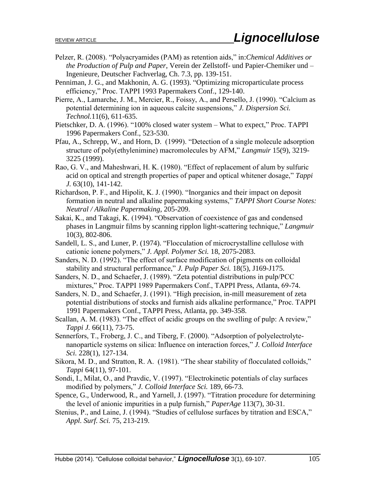- Pelzer, R. (2008). "Polyacryamides (PAM) as retention aids," in:*Chemical Additives or the Production of Pulp and Paper*, Verein der Zellstoff- und Papier-Chemiker und – Ingenieure, Deutscher Fachverlag, Ch. 7.3, pp. 139-151.
- Penniman, J. G., and Makhonin, A. G. (1993). "Optimizing microparticulate process efficiency," Proc. TAPPI 1993 Papermakers Conf., 129-140.
- Pierre, A., Lamarche, J. M., Mercier, R., Foissy, A., and Persello, J. (1990). "Calcium as potential determining ion in aqueous calcite suspensions," *J. Dispersion Sci. Technol.*11(6), 611-635.
- Pietschker, D. A. (1996). "100% closed water system What to expect," Proc. TAPPI 1996 Papermakers Conf., 523-530.
- Pfau, A., Schrepp, W., and Horn, D. (1999). "Detection of a single molecule adsorption structure of poly(ethylenimine) macromolecules by AFM," *Langmuir* 15(9), 3219- 3225 (1999).
- Rao, G. V., and Maheshwari, H. K. (1980). "Effect of replacement of alum by sulfuric acid on optical and strength properties of paper and optical whitener dosage," *Tappi J.* 63(10), 141-142.
- Richardson, P. F., and Hipolit, K. J. (1990). "Inorganics and their impact on deposit formation in neutral and alkaline papermaking systems," *TAPPI Short Course Notes: Neutral / Alkaline Papermaking*, 205-209.
- Sakai, K., and Takagi, K. (1994). "Observation of coexistence of gas and condensed phases in Langmuir films by scanning ripplon light-scattering technique," *Langmuir* 10(3), 802-806.
- Sandell, L. S., and Luner, P. (1974). "Flocculation of microcrystalline cellulose with cationic ionene polymers," *J. Appl. Polymer Sci.* 18, 2075-2083.
- Sanders, N. D. (1992). "The effect of surface modification of pigments on colloidal stability and structural performance," *J. Pulp Paper Sci.* 18(5), J169-J175.
- Sanders, N. D., and Schaefer, J. (1989). "Zeta potential distributions in pulp/PCC mixtures," Proc. TAPPI 1989 Papermakers Conf., TAPPI Press, Atlanta, 69-74.
- Sanders, N. D., and Schaefer, J. (1991). "High precision, in-mill measurement of zeta potential distributions of stocks and furnish aids alkaline performance," Proc. TAPPI 1991 Papermakers Conf., TAPPI Press, Atlanta, pp. 349-358.
- Scallan, A. M. (1983). "The effect of acidic groups on the swelling of pulp: A review," *Tappi J.* 66(11), 73-75.
- Sennerfors, T., Froberg, J. C., and Tiberg, F. (2000). "Adsorption of polyelectrolytenanoparticle systems on silica: Influence on interaction forces," *J. Colloid Interface Sci.* 228(1), 127-134.
- Sikora, M. D., and Stratton, R. A. (1981). "The shear stability of flocculated colloids," *Tappi* 64(11), 97-101.
- Sondi, I., Milat, O., and Pravdic, V. (1997). "Electrokinetic potentials of clay surfaces modified by polymers," *J. Colloid Interface Sci.* 189, 66-73.
- Spence, G., Underwood, R., and Yarnell, J. (1997). "Titration procedure for determining the level of anionic impurities in a pulp furnish," *PaperAge* 113(7), 30-31.
- Stenius, P., and Laine, J. (1994). "Studies of cellulose surfaces by titration and ESCA," *Appl. Surf. Sci.* 75, 213-219.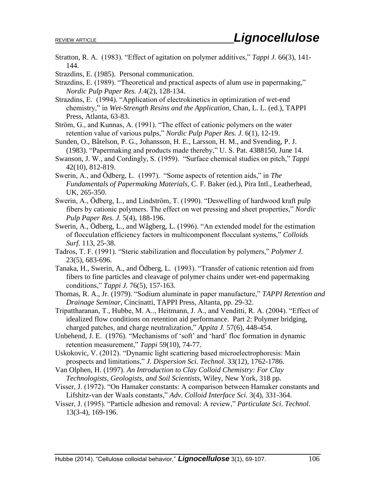Stratton, R. A. (1983). "Effect of agitation on polymer additives," *Tappi J.* 66(3), 141- 144.

Strazdins, E. (1985). Personal communication.

- Strazdins, E. (1989). "Theoretical and practical aspects of alum use in papermaking," *Nordic Pulp Paper Res. J.*4(2), 128-134.
- Strazdins, E. (1994). "Application of electrokinetics in optimization of wet-end chemistry," in *Wet-Strength Resins and the Application*, Chan, L. L. (ed.), TAPPI Press, Atlanta, 63-83.
- Ström, G., and Kunnas, A. (1991). "The effect of cationic polymers on the water retention value of various pulps," *Nordic Pulp Paper Res. J.* 6(1), 12-19.
- Sunden, O., Båtelson, P. G., Johansson, H. E., Larsson, H. M., and Svending, P. J. (1983). "Papermaking and products made thereby," U. S. Pat. 4388150, June 14.
- Swanson, J. W., and Cordingly, S. (1959). "Surface chemical studies on pitch," *Tappi*  42(10), 812-819.
- Swerin, A., and Ödberg, L. (1997). "Some aspects of retention aids," in *The Fundamentals of Papermaking Materials*, C. F. Baker (ed.), Pira Intl., Leatherhead, UK, 265-350.
- Swerin, A., Ödberg, L., and Lindström, T. (1990). "Deswelling of hardwood kraft pulp fibers by cationic polymers. The effect on wet pressing and sheet properties," *Nordic Pulp Paper Res. J.* 5(4), 188-196.
- Swerin, A., Ödberg, L., and Wågberg, L. (1996). "An extended model for the estimation of flocculation efficiency factors in multicomponent flocculant systems," *Colloids Surf.* 113, 25-38.
- Tadros, T. F. (1991). "Steric stabilization and flocculation by polymers," *Polymer J.* 23(5), 683-696.
- Tanaka, H., Swerin, A., and Ödberg, L. (1993). "Transfer of cationic retention aid from fibers to fine particles and cleavage of polymer chains under wet-end papermaking conditions," *Tappi J.* 76(5), 157-163.

Thomas, R. A., Jr. (1979). "Sodium aluminate in paper manufacture," *TAPPI Retention and Drainage Seminar*, Cincinatti, TAPPI Press, Altanta, pp. 29-32.

- Tripattharanan, T., Hubbe, M. A.., Heitmann, J. A., and Venditti, R. A. (2004). "Effect of idealized flow conditions on retention aid performance. Part 2: Polymer bridging, charged patches, and charge neutralization," *Appita J.* 57(6), 448-454.
- Unbehend, J. E. (1976). "Mechanisms of 'soft' and 'hard' floc formation in dynamic retention measurement," *Tappi* 59(10), 74-77.
- Uskokovic, V. (2012). "Dynamic light scattering based microelectrophoresis: Main prospects and limitations," *J. Dispersion Sci. Technol.* 33(12), 1762-1786.
- Van Olphen, H. (1997). *An Introduction to Clay Colloid Chemistry: For Clay Technologists, Geologists, and Soil Scientists*, Wiley, New York, 318 pp.
- Visser, J. (1972). "On Hamaker constants: A comparison between Hamaker constants and Lifshitz-van der Waals constants," *Adv. Colloid Interface Sci.* 3(4), 331-364.
- Visser, J. (1995). "Particle adhesion and removal: A review," *Particulate Sci. Technol.* 13(3-4), 169-196.